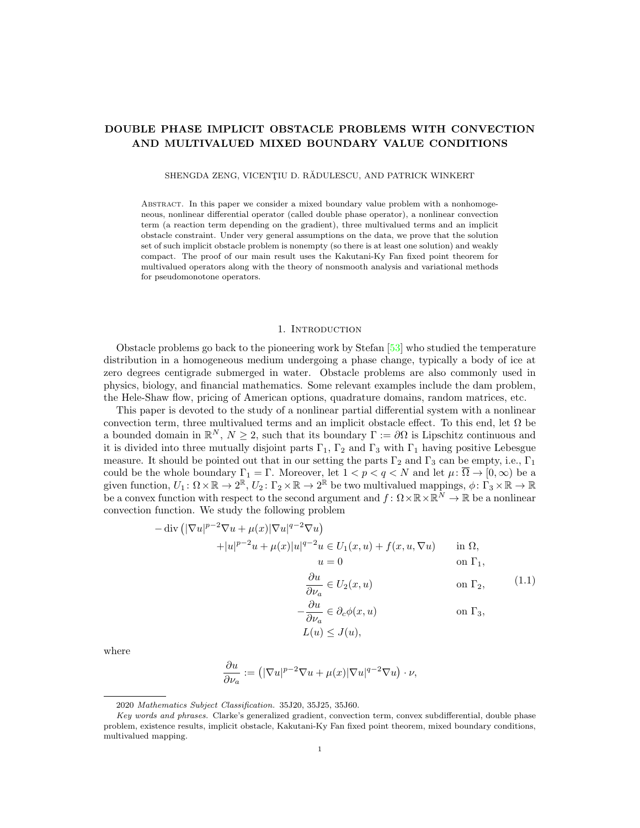# DOUBLE PHASE IMPLICIT OBSTACLE PROBLEMS WITH CONVECTION AND MULTIVALUED MIXED BOUNDARY VALUE CONDITIONS

SHENGDA ZENG, VICENȚIU D. RĂDULESCU, AND PATRICK WINKERT

Abstract. In this paper we consider a mixed boundary value problem with a nonhomogeneous, nonlinear differential operator (called double phase operator), a nonlinear convection term (a reaction term depending on the gradient), three multivalued terms and an implicit obstacle constraint. Under very general assumptions on the data, we prove that the solution set of such implicit obstacle problem is nonempty (so there is at least one solution) and weakly compact. The proof of our main result uses the Kakutani-Ky Fan fixed point theorem for multivalued operators along with the theory of nonsmooth analysis and variational methods for pseudomonotone operators.

## 1. INTRODUCTION

Obstacle problems go back to the pioneering work by Stefan [\[53\]](#page-24-0) who studied the temperature distribution in a homogeneous medium undergoing a phase change, typically a body of ice at zero degrees centigrade submerged in water. Obstacle problems are also commonly used in physics, biology, and financial mathematics. Some relevant examples include the dam problem, the Hele-Shaw flow, pricing of American options, quadrature domains, random matrices, etc.

This paper is devoted to the study of a nonlinear partial differential system with a nonlinear convection term, three multivalued terms and an implicit obstacle effect. To this end, let  $\Omega$  be a bounded domain in  $\mathbb{R}^N$ ,  $N \geq 2$ , such that its boundary  $\Gamma := \partial\Omega$  is Lipschitz continuous and it is divided into three mutually disjoint parts  $\Gamma_1$ ,  $\Gamma_2$  and  $\Gamma_3$  with  $\Gamma_1$  having positive Lebesgue measure. It should be pointed out that in our setting the parts  $\Gamma_2$  and  $\Gamma_3$  can be empty, i.e.,  $\Gamma_1$ could be the whole boundary  $\Gamma_1 = \Gamma$ . Moreover, let  $1 < p < q < N$  and let  $\mu : \overline{\Omega} \to [0, \infty)$  be a given function,  $U_1: \Omega \times \mathbb{R} \to 2^{\mathbb{R}}$ ,  $U_2: \Gamma_2 \times \mathbb{R} \to 2^{\mathbb{R}}$  be two multivalued mappings,  $\phi: \Gamma_3 \times \mathbb{R} \to \mathbb{R}$ be a convex function with respect to the second argument and  $f: \Omega \times \mathbb{R} \times \mathbb{R}^N \to \mathbb{R}$  be a nonlinear convection function. We study the following problem

<span id="page-0-0"></span>
$$
-\operatorname{div}\left(|\nabla u|^{p-2}\nabla u + \mu(x)|\nabla u|^{q-2}\nabla u\right)
$$
  
 
$$
+|u|^{p-2}u + \mu(x)|u|^{q-2}u \in U_1(x, u) + f(x, u, \nabla u) \quad \text{in } \Omega,
$$
  
 
$$
u = 0 \quad \text{on } \Gamma_1,
$$
  
\n
$$
\frac{\partial u}{\partial \nu_a} \in U_2(x, u) \quad \text{on } \Gamma_2, \tag{1.1}
$$

$$
-\frac{\partial u}{\partial \nu_a} \in \partial_c \phi(x, u) \qquad \text{on } \Gamma_3,
$$

$$
L(u) \leq J(u),
$$

where

$$
\frac{\partial u}{\partial \nu_a}:=\left(|\nabla u|^{p-2}\nabla u+\mu(x)|\nabla u|^{q-2}\nabla u\right)\cdot\nu,
$$

<sup>2020</sup> Mathematics Subject Classification. 35J20, 35J25, 35J60.

Key words and phrases. Clarke's generalized gradient, convection term, convex subdifferential, double phase problem, existence results, implicit obstacle, Kakutani-Ky Fan fixed point theorem, mixed boundary conditions, multivalued mapping.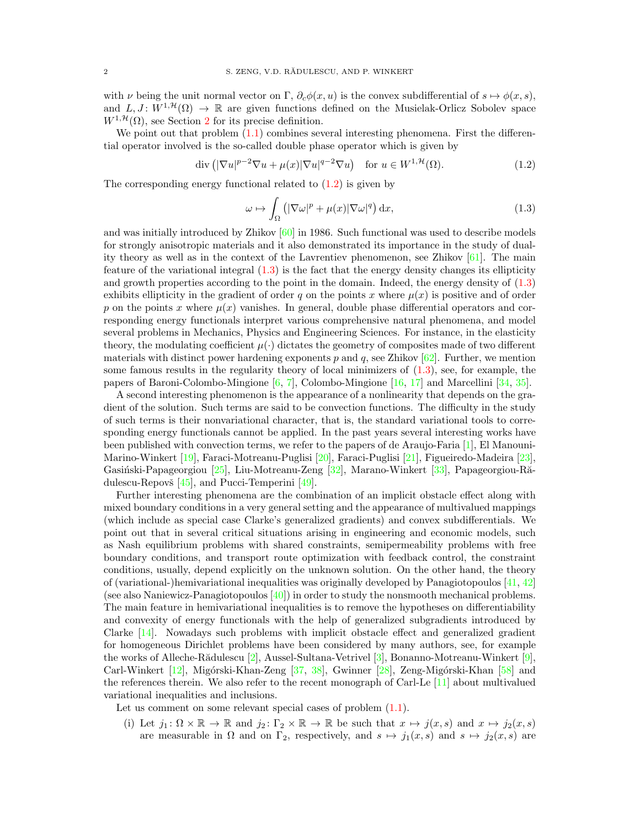with  $\nu$  being the unit normal vector on Γ,  $\partial_c \phi(x, u)$  is the convex subdifferential of  $s \mapsto \phi(x, s)$ , and  $L, J: W^{1, \mathcal{H}}(\Omega) \to \mathbb{R}$  are given functions defined on the Musielak-Orlicz Sobolev space  $W^{1,\mathcal{H}}(\Omega)$ , see Section [2](#page-4-0) for its precise definition.

We point out that problem  $(1.1)$  combines several interesting phenomena. First the differential operator involved is the so-called double phase operator which is given by

$$
\operatorname{div}\left(|\nabla u|^{p-2}\nabla u + \mu(x)|\nabla u|^{q-2}\nabla u\right) \quad \text{for } u \in W^{1,\mathcal{H}}(\Omega). \tag{1.2}
$$

The corresponding energy functional related to  $(1.2)$  is given by

<span id="page-1-1"></span><span id="page-1-0"></span>
$$
\omega \mapsto \int_{\Omega} \left( |\nabla \omega|^p + \mu(x) |\nabla \omega|^q \right) dx, \tag{1.3}
$$

and was initially introduced by Zhikov [\[60\]](#page-24-1) in 1986. Such functional was used to describe models for strongly anisotropic materials and it also demonstrated its importance in the study of duality theory as well as in the context of the Lavrentiev phenomenon, see Zhikov [\[61\]](#page-24-2). The main feature of the variational integral [\(1.3\)](#page-1-1) is the fact that the energy density changes its ellipticity and growth properties according to the point in the domain. Indeed, the energy density of [\(1.3\)](#page-1-1) exhibits ellipticity in the gradient of order q on the points x where  $\mu(x)$  is positive and of order p on the points x where  $\mu(x)$  vanishes. In general, double phase differential operators and corresponding energy functionals interpret various comprehensive natural phenomena, and model several problems in Mechanics, Physics and Engineering Sciences. For instance, in the elasticity theory, the modulating coefficient  $\mu(\cdot)$  dictates the geometry of composites made of two different materials with distinct power hardening exponents p and q, see Zhikov  $[62]$ . Further, we mention some famous results in the regularity theory of local minimizers of [\(1.3\)](#page-1-1), see, for example, the papers of Baroni-Colombo-Mingione [\[6,](#page-22-0) [7\]](#page-22-1), Colombo-Mingione [\[16,](#page-23-0) [17\]](#page-23-1) and Marcellini [\[34,](#page-23-2) [35\]](#page-23-3).

A second interesting phenomenon is the appearance of a nonlinearity that depends on the gradient of the solution. Such terms are said to be convection functions. The difficulty in the study of such terms is their nonvariational character, that is, the standard variational tools to corresponding energy functionals cannot be applied. In the past years several interesting works have been published with convection terms, we refer to the papers of de Araujo-Faria [\[1\]](#page-22-2), El Manouni-Marino-Winkert [\[19\]](#page-23-4), Faraci-Motreanu-Puglisi [\[20\]](#page-23-5), Faraci-Puglisi [\[21\]](#page-23-6), Figueiredo-Madeira [\[23\]](#page-23-7), Gasiński-Papageorgiou [\[25\]](#page-23-8), Liu-Motreanu-Zeng [\[32\]](#page-23-9), Marano-Winkert [\[33\]](#page-23-10), Papageorgiou-Rădulescu-Repovš  $[45]$ , and Pucci-Temperini  $[49]$ .

Further interesting phenomena are the combination of an implicit obstacle effect along with mixed boundary conditions in a very general setting and the appearance of multivalued mappings (which include as special case Clarke's generalized gradients) and convex subdifferentials. We point out that in several critical situations arising in engineering and economic models, such as Nash equilibrium problems with shared constraints, semipermeability problems with free boundary conditions, and transport route optimization with feedback control, the constraint conditions, usually, depend explicitly on the unknown solution. On the other hand, the theory of (variational-)hemivariational inequalities was originally developed by Panagiotopoulos [\[41,](#page-23-11) [42\]](#page-23-12) (see also Naniewicz-Panagiotopoulos [\[40\]](#page-23-13)) in order to study the nonsmooth mechanical problems. The main feature in hemivariational inequalities is to remove the hypotheses on differentiability and convexity of energy functionals with the help of generalized subgradients introduced by Clarke [\[14\]](#page-23-14). Nowadays such problems with implicit obstacle effect and generalized gradient for homogeneous Dirichlet problems have been considered by many authors, see, for example the works of Alleche-Rădulescu  $[2]$ , Aussel-Sultana-Vetrivel  $[3]$ , Bonanno-Motreanu-Winkert  $[9]$ , Carl-Winkert [\[12\]](#page-22-6), Migórski-Khan-Zeng [\[37,](#page-23-15) [38\]](#page-23-16), Gwinner [\[28\]](#page-23-17), Zeng-Migórski-Khan [\[58\]](#page-24-6) and the references therein. We also refer to the recent monograph of Carl-Le [\[11\]](#page-22-7) about multivalued variational inequalities and inclusions.

Let us comment on some relevant special cases of problem  $(1.1)$ .

(i) Let  $j_1: \Omega \times \mathbb{R} \to \mathbb{R}$  and  $j_2: \Gamma_2 \times \mathbb{R} \to \mathbb{R}$  be such that  $x \mapsto j(x, s)$  and  $x \mapsto j_2(x, s)$ are measurable in  $\Omega$  and on  $\Gamma_2$ , respectively, and  $s \mapsto j_1(x, s)$  and  $s \mapsto j_2(x, s)$  are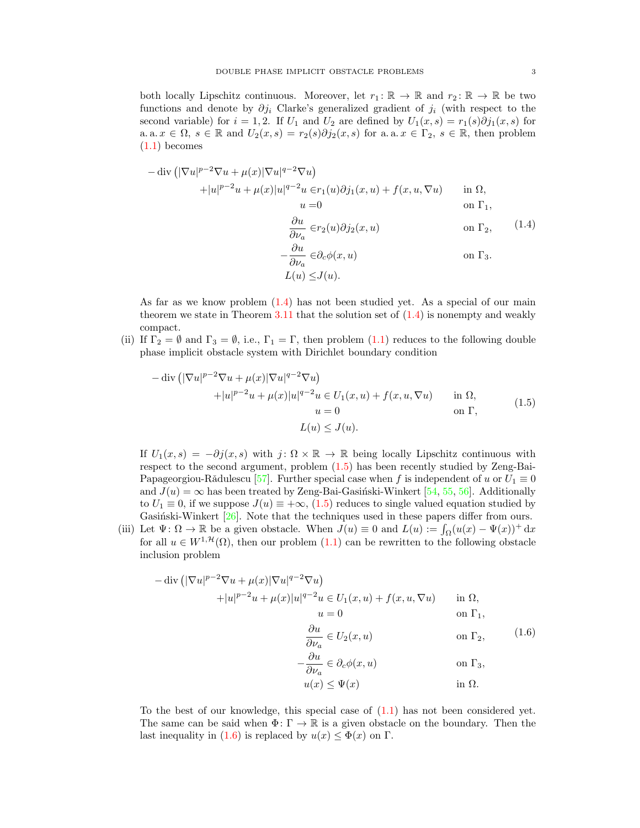both locally Lipschitz continuous. Moreover, let  $r_1: \mathbb{R} \to \mathbb{R}$  and  $r_2: \mathbb{R} \to \mathbb{R}$  be two functions and denote by  $\partial j_i$  Clarke's generalized gradient of  $j_i$  (with respect to the second variable) for  $i = 1, 2$ . If  $U_1$  and  $U_2$  are defined by  $U_1(x, s) = r_1(s)\partial j_1(x, s)$  for a. a.  $x \in \Omega$ ,  $s \in \mathbb{R}$  and  $U_2(x, s) = r_2(s)\partial j_2(x, s)$  for a. a.  $x \in \Gamma_2$ ,  $s \in \mathbb{R}$ , then problem  $(1.1)$  becomes

<span id="page-2-0"></span>
$$
-\operatorname{div} \left( |\nabla u|^{p-2} \nabla u + \mu(x) |\nabla u|^{q-2} \nabla u \right)
$$
  
\n
$$
+ |u|^{p-2} u + \mu(x) |u|^{q-2} u \in r_1(u) \partial j_1(x, u) + f(x, u, \nabla u) \quad \text{in } \Omega,
$$
  
\n
$$
u = 0 \quad \text{on } \Gamma_1,
$$
  
\n
$$
\frac{\partial u}{\partial \nu_a} \in r_2(u) \partial j_2(x, u) \quad \text{on } \Gamma_2, \qquad (1.4)
$$
  
\n
$$
-\frac{\partial u}{\partial \nu_a} \in \partial_c \phi(x, u) \quad \text{on } \Gamma_3.
$$
  
\n
$$
L(u) \leq J(u).
$$

As far as we know problem [\(1.4\)](#page-2-0) has not been studied yet. As a special of our main theorem we state in Theorem [3.11](#page-21-0) that the solution set of  $(1.4)$  is nonempty and weakly compact.

(ii) If  $\Gamma_2 = \emptyset$  and  $\Gamma_3 = \emptyset$ , i.e.,  $\Gamma_1 = \Gamma$ , then problem [\(1.1\)](#page-0-0) reduces to the following double phase implicit obstacle system with Dirichlet boundary condition

<span id="page-2-1"></span>
$$
-\operatorname{div}\left(|\nabla u|^{p-2}\nabla u + \mu(x)|\nabla u|^{q-2}\nabla u\right)
$$
  
 
$$
+|u|^{p-2}u + \mu(x)|u|^{q-2}u \in U_1(x, u) + f(x, u, \nabla u) \quad \text{in } \Omega,
$$
  
 
$$
u = 0 \quad \text{on } \Gamma,
$$
  
 
$$
L(u) \leq J(u).
$$
 (1.5)

If  $U_1(x, s) = -\partial j(x, s)$  with  $j: \Omega \times \mathbb{R} \to \mathbb{R}$  being locally Lipschitz continuous with respect to the second argument, problem [\(1.5\)](#page-2-1) has been recently studied by Zeng-Bai-Papageorgiou-Rădulescu [\[57\]](#page-24-7). Further special case when f is independent of u or  $U_1 \equiv 0$ and  $J(u) = \infty$  has been treated by Zeng-Bai-Gasiński-Winkert [\[54,](#page-24-8) [55,](#page-24-9) [56\]](#page-24-10). Additionally to  $U_1 \equiv 0$ , if we suppose  $J(u) \equiv +\infty$ , [\(1.5\)](#page-2-1) reduces to single valued equation studied by Gasiński-Winkert  $[26]$ . Note that the techniques used in these papers differ from ours.

(iii) Let  $\Psi \colon \Omega \to \mathbb{R}$  be a given obstacle. When  $J(u) \equiv 0$  and  $L(u) := \int_{\Omega} (u(x) - \Psi(x))^+ dx$ for all  $u \in W^{1,\mathcal{H}}(\Omega)$ , then our problem  $(1.1)$  can be rewritten to the following obstacle inclusion problem

<span id="page-2-2"></span>
$$
-\operatorname{div}\left(|\nabla u|^{p-2}\nabla u + \mu(x)|\nabla u|^{q-2}\nabla u\right)
$$
  
 
$$
+|u|^{p-2}u + \mu(x)|u|^{q-2}u \in U_1(x, u) + f(x, u, \nabla u) \quad \text{in } \Omega,
$$
  
 
$$
u = 0 \quad \text{on } \Gamma_1,
$$

$$
\frac{\partial u}{\partial \nu_a} \in U_2(x, u) \qquad \text{on } \Gamma_2,
$$
 (1.6)

$$
-\frac{\partial u}{\partial \nu_a} \in \partial_c \phi(x, u) \qquad \text{on } \Gamma_3,
$$
  
 
$$
u(x) \le \Psi(x) \qquad \text{in } \Omega.
$$

To the best of our knowledge, this special case of [\(1.1\)](#page-0-0) has not been considered yet. The same can be said when  $\Phi: \Gamma \to \mathbb{R}$  is a given obstacle on the boundary. Then the last inequality in [\(1.6\)](#page-2-2) is replaced by  $u(x) \leq \Phi(x)$  on  $\Gamma$ .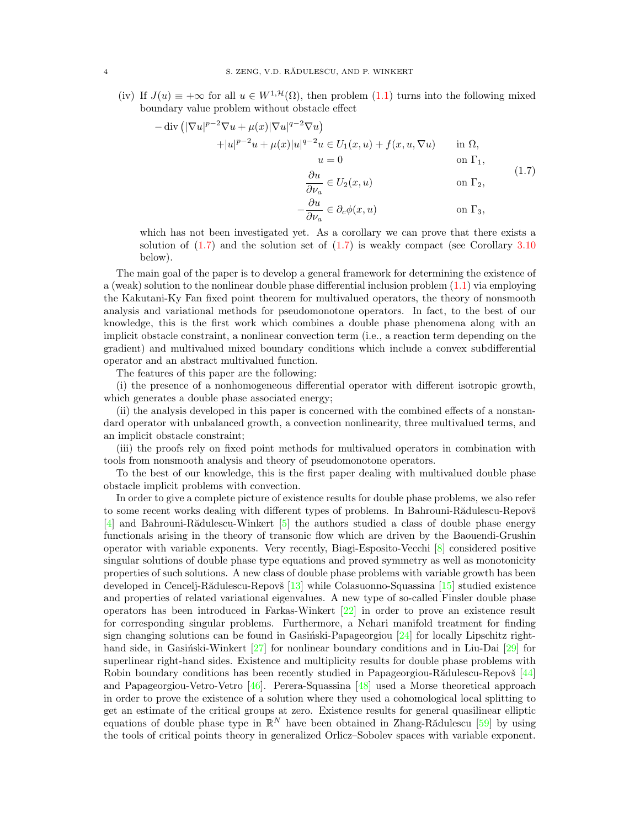(iv) If  $J(u) \equiv +\infty$  for all  $u \in W^{1, \mathcal{H}}(\Omega)$ , then problem [\(1.1\)](#page-0-0) turns into the following mixed boundary value problem without obstacle effect

<span id="page-3-0"></span>
$$
-\operatorname{div}\left(|\nabla u|^{p-2}\nabla u + \mu(x)|\nabla u|^{q-2}\nabla u\right)
$$
  
\n
$$
+|u|^{p-2}u + \mu(x)|u|^{q-2}u \in U_1(x, u) + f(x, u, \nabla u) \quad \text{in } \Omega,
$$
  
\n
$$
u = 0 \quad \text{on } \Gamma_1,
$$
  
\n
$$
\frac{\partial u}{\partial \nu_a} \in U_2(x, u) \quad \text{on } \Gamma_2,
$$
  
\n
$$
-\frac{\partial u}{\partial \nu_a} \in \partial_c \phi(x, u) \quad \text{on } \Gamma_3,
$$
  
\n(1.7)

which has not been investigated yet. As a corollary we can prove that there exists a solution of  $(1.7)$  and the solution set of  $(1.7)$  is weakly compact (see Corollary [3.10](#page-21-1)) below).

The main goal of the paper is to develop a general framework for determining the existence of a (weak) solution to the nonlinear double phase differential inclusion problem [\(1.1\)](#page-0-0) via employing the Kakutani-Ky Fan fixed point theorem for multivalued operators, the theory of nonsmooth analysis and variational methods for pseudomonotone operators. In fact, to the best of our knowledge, this is the first work which combines a double phase phenomena along with an implicit obstacle constraint, a nonlinear convection term (i.e., a reaction term depending on the gradient) and multivalued mixed boundary conditions which include a convex subdifferential operator and an abstract multivalued function.

The features of this paper are the following:

(i) the presence of a nonhomogeneous differential operator with different isotropic growth, which generates a double phase associated energy;

(ii) the analysis developed in this paper is concerned with the combined effects of a nonstandard operator with unbalanced growth, a convection nonlinearity, three multivalued terms, and an implicit obstacle constraint;

(iii) the proofs rely on fixed point methods for multivalued operators in combination with tools from nonsmooth analysis and theory of pseudomonotone operators.

To the best of our knowledge, this is the first paper dealing with multivalued double phase obstacle implicit problems with convection.

In order to give a complete picture of existence results for double phase problems, we also refer to some recent works dealing with different types of problems. In Bahrouni-Rădulescu-Repovš  $[4]$  and Bahrouni-Rădulescu-Winkert  $[5]$  the authors studied a class of double phase energy functionals arising in the theory of transonic flow which are driven by the Baouendi-Grushin operator with variable exponents. Very recently, Biagi-Esposito-Vecchi [\[8\]](#page-22-10) considered positive singular solutions of double phase type equations and proved symmetry as well as monotonicity properties of such solutions. A new class of double phase problems with variable growth has been developed in Cencelj-Rădulescu-Repovš  $[13]$  while Colasuonno-Squassina  $[15]$  studied existence and properties of related variational eigenvalues. A new type of so-called Finsler double phase operators has been introduced in Farkas-Winkert [\[22\]](#page-23-21) in order to prove an existence result for corresponding singular problems. Furthermore, a Nehari manifold treatment for finding sign changing solutions can be found in Gasiński-Papageorgiou  $[24]$  for locally Lipschitz righthand side, in Gasinski-Winkert  $[27]$  for nonlinear boundary conditions and in Liu-Dai  $[29]$  for superlinear right-hand sides. Existence and multiplicity results for double phase problems with Robin boundary conditions has been recently studied in Papageorgiou-Rădulescu-Repovš [\[44\]](#page-24-11) and Papageorgiou-Vetro-Vetro [\[46\]](#page-24-12). Perera-Squassina [\[48\]](#page-24-13) used a Morse theoretical approach in order to prove the existence of a solution where they used a cohomological local splitting to get an estimate of the critical groups at zero. Existence results for general quasilinear elliptic equations of double phase type in  $\mathbb{R}^N$  have been obtained in Zhang-Rădulescu [\[59\]](#page-24-14) by using the tools of critical points theory in generalized Orlicz–Sobolev spaces with variable exponent.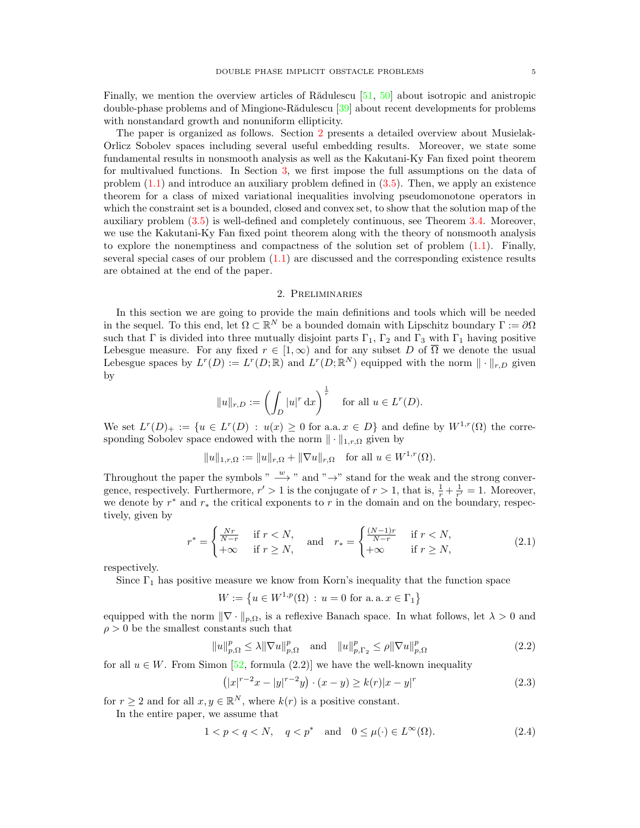Finally, we mention the overview articles of R $\tilde{a}$ dulescu [\[51,](#page-24-15) [50\]](#page-24-16) about isotropic and anistropic double-phase problems and of Mingione-Rădulescu [\[39\]](#page-23-25) about recent developments for problems with nonstandard growth and nonuniform ellipticity.

The paper is organized as follows. Section [2](#page-4-0) presents a detailed overview about Musielak-Orlicz Sobolev spaces including several useful embedding results. Moreover, we state some fundamental results in nonsmooth analysis as well as the Kakutani-Ky Fan fixed point theorem for multivalued functions. In Section [3,](#page-8-0) we first impose the full assumptions on the data of problem  $(1.1)$  and introduce an auxiliary problem defined in  $(3.5)$ . Then, we apply an existence theorem for a class of mixed variational inequalities involving pseudomonotone operators in which the constraint set is a bounded, closed and convex set, to show that the solution map of the auxiliary problem [\(3.5\)](#page-10-0) is well-defined and completely continuous, see Theorem [3.4.](#page-10-1) Moreover, we use the Kakutani-Ky Fan fixed point theorem along with the theory of nonsmooth analysis to explore the nonemptiness and compactness of the solution set of problem  $(1.1)$ . Finally, several special cases of our problem  $(1.1)$  are discussed and the corresponding existence results are obtained at the end of the paper.

## 2. Preliminaries

<span id="page-4-0"></span>In this section we are going to provide the main definitions and tools which will be needed in the sequel. To this end, let  $\Omega \subset \mathbb{R}^N$  be a bounded domain with Lipschitz boundary  $\Gamma := \partial \Omega$ such that  $\Gamma$  is divided into three mutually disjoint parts  $\Gamma_1$ ,  $\Gamma_2$  and  $\Gamma_3$  with  $\Gamma_1$  having positive Lebesgue measure. For any fixed  $r \in [1,\infty)$  and for any subset D of  $\overline{\Omega}$  we denote the usual Lebesgue spaces by  $L^r(D) := L^r(D; \mathbb{R})$  and  $L^r(D; \mathbb{R}^N)$  equipped with the norm  $\|\cdot\|_{r,D}$  given by

$$
||u||_{r,D} := \left(\int_D |u|^r \, \mathrm{d}x\right)^{\frac{1}{r}} \quad \text{for all } u \in L^r(D).
$$

We set  $L^r(D)_+ := \{u \in L^r(D) : u(x) \geq 0 \text{ for a.a. } x \in D\}$  and define by  $W^{1,r}(\Omega)$  the corresponding Sobolev space endowed with the norm  $\|\cdot\|_{1,r,\Omega}$  given by

$$
||u||_{1,r,\Omega} := ||u||_{r,\Omega} + ||\nabla u||_{r,\Omega}
$$
 for all  $u \in W^{1,r}(\Omega)$ .

Throughout the paper the symbols "  $\stackrel{w}{\longrightarrow}$  " and " →" stand for the weak and the strong convergence, respectively. Furthermore,  $r' > 1$  is the conjugate of  $r > 1$ , that is,  $\frac{1}{r} + \frac{1}{r'} = 1$ . Moreover, we denote by  $r^*$  and  $r_*$  the critical exponents to r in the domain and on the boundary, respectively, given by

$$
r^* = \begin{cases} \frac{Nr}{N-r} & \text{if } r < N, \\ +\infty & \text{if } r \ge N, \end{cases} \quad \text{and} \quad r_* = \begin{cases} \frac{(N-1)r}{N-r} & \text{if } r < N, \\ +\infty & \text{if } r \ge N, \end{cases} \tag{2.1}
$$

respectively.

Since  $\Gamma_1$  has positive measure we know from Korn's inequality that the function space

<span id="page-4-2"></span> $W := \{u \in W^{1,p}(\Omega) : u = 0 \text{ for a.a. } x \in \Gamma_1\}$ 

equipped with the norm  $\|\nabla \cdot \|_{p,\Omega}$ , is a reflexive Banach space. In what follows, let  $\lambda > 0$  and  $\rho > 0$  be the smallest constants such that

$$
||u||_{p,\Omega}^p \le \lambda ||\nabla u||_{p,\Omega}^p \quad \text{and} \quad ||u||_{p,\Gamma_2}^p \le \rho ||\nabla u||_{p,\Omega}^p \tag{2.2}
$$

for all  $u \in W$ . From Simon [\[52,](#page-24-17) formula (2.2)] we have the well-known inequality

<span id="page-4-4"></span><span id="page-4-3"></span><span id="page-4-1"></span>
$$
(|x|^{r-2}x - |y|^{r-2}y) \cdot (x - y) \ge k(r)|x - y|^r \tag{2.3}
$$

for  $r \geq 2$  and for all  $x, y \in \mathbb{R}^N$ , where  $k(r)$  is a positive constant.

In the entire paper, we assume that

$$
1 < p < q < N, \quad q < p^* \quad \text{and} \quad 0 \le \mu(\cdot) \in L^\infty(\Omega). \tag{2.4}
$$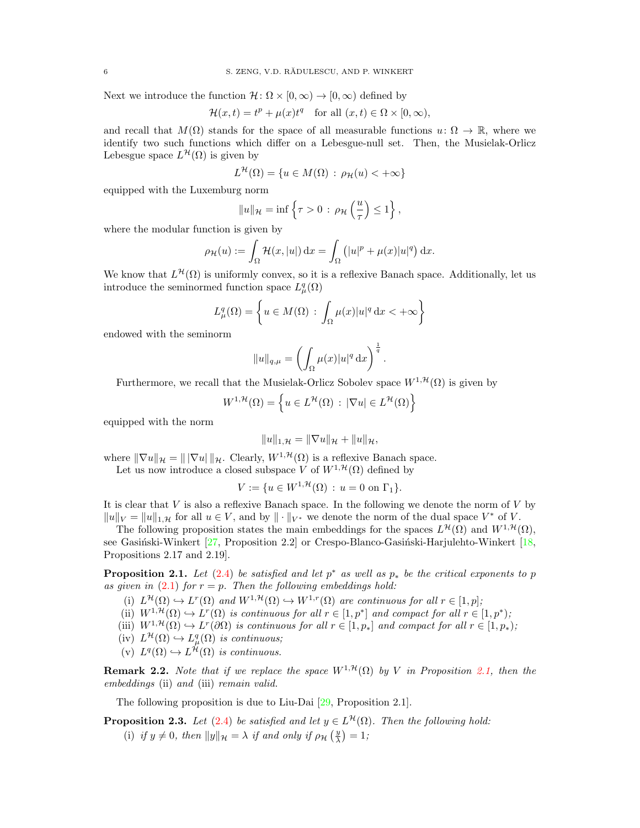Next we introduce the function  $\mathcal{H} \colon \Omega \times [0, \infty) \to [0, \infty)$  defined by

$$
\mathcal{H}(x,t) = t^p + \mu(x)t^q \quad \text{for all } (x,t) \in \Omega \times [0,\infty),
$$

and recall that  $M(\Omega)$  stands for the space of all measurable functions  $u: \Omega \to \mathbb{R}$ , where we identify two such functions which differ on a Lebesgue-null set. Then, the Musielak-Orlicz Lebesgue space  $L^{\mathcal{H}}(\Omega)$  is given by

$$
L^{\mathcal{H}}(\Omega) = \{ u \in M(\Omega) \, : \, \rho_{\mathcal{H}}(u) < +\infty \}
$$

equipped with the Luxemburg norm

$$
||u||_{\mathcal{H}} = \inf \left\{ \tau > 0 \, : \, \rho_{\mathcal{H}}\left(\frac{u}{\tau}\right) \le 1 \right\},\,
$$

where the modular function is given by

$$
\rho_{\mathcal{H}}(u) := \int_{\Omega} \mathcal{H}(x, |u|) dx = \int_{\Omega} (|u|^p + \mu(x)|u|^q) dx.
$$

We know that  $L^{\mathcal{H}}(\Omega)$  is uniformly convex, so it is a reflexive Banach space. Additionally, let us introduce the seminormed function space  $L^q_\mu(\Omega)$ 

$$
L^q_\mu(\Omega) = \left\{ u \in M(\Omega) : \int_{\Omega} \mu(x) |u|^q \, \mathrm{d}x < +\infty \right\}
$$

endowed with the seminorm

$$
||u||_{q,\mu} = \left(\int_{\Omega} \mu(x)|u|^q dx\right)^{\frac{1}{q}}.
$$

Furthermore, we recall that the Musielak-Orlicz Sobolev space  $W^{1, \mathcal{H}}(\Omega)$  is given by

$$
W^{1,\mathcal{H}}(\Omega) = \left\{ u \in L^{\mathcal{H}}(\Omega) : |\nabla u| \in L^{\mathcal{H}}(\Omega) \right\}
$$

equipped with the norm

$$
||u||_{1,\mathcal{H}} = ||\nabla u||_{\mathcal{H}} + ||u||_{\mathcal{H}},
$$

where  $\|\nabla u\|_{\mathcal{H}} = \|\nabla u\|_{\mathcal{H}}$ . Clearly,  $W^{1,\mathcal{H}}(\Omega)$  is a reflexive Banach space.

Let us now introduce a closed subspace V of  $W^{1, \mathcal{H}}(\Omega)$  defined by

$$
V := \{ u \in W^{1, \mathcal{H}}(\Omega) : u = 0 \text{ on } \Gamma_1 \}.
$$

It is clear that  $V$  is also a reflexive Banach space. In the following we denote the norm of  $V$  by  $||u||_V = ||u||_{1,\mathcal{H}}$  for all  $u \in V$ , and by  $||\cdot||_{V^*}$  we denote the norm of the dual space  $V^*$  of V.

The following proposition states the main embeddings for the spaces  $L^{\mathcal{H}}(\Omega)$  and  $W^{1,\mathcal{H}}(\Omega)$ , see Gasiński-Winkert  $[27,$  Proposition 2.2] or Crespo-Blanco-Gasiński-Harjulehto-Winkert  $[18,$ Propositions 2.17 and 2.19].

<span id="page-5-0"></span>**Proposition 2.1.** Let  $(2.4)$  be satisfied and let  $p^*$  as well as  $p_*$  be the critical exponents to p as given in  $(2.1)$  for  $r = p$ . Then the following embeddings hold:

- (i)  $L^{\mathcal{H}}(\Omega) \hookrightarrow L^{r}(\Omega)$  and  $W^{1,\mathcal{H}}(\Omega) \hookrightarrow W^{1,r}(\Omega)$  are continuous for all  $r \in [1,p]$ ;
- (ii)  $W^{1,\mathcal{H}}(\Omega) \hookrightarrow L^r(\Omega)$  is continuous for all  $r \in [1,p^*]$  and compact for all  $r \in [1,p^*);$
- (iii)  $W^{1,\mathcal{H}}(\Omega) \hookrightarrow L^r(\partial \Omega)$  is continuous for all  $r \in [1,p_*]$  and compact for all  $r \in [1,p_*)$ ;
- $(iv) L^{\mathcal{H}}(\Omega) \hookrightarrow L^q_{\mu}(\Omega)$  is continuous;
- (v)  $L^q(\Omega) \hookrightarrow L^{\mathcal{H}}(\Omega)$  is continuous.

**Remark 2.2.** Note that if we replace the space  $W^{1, \mathcal{H}}(\Omega)$  by V in Proposition [2.1,](#page-5-0) then the embeddings (ii) and (iii) remain valid.

The following proposition is due to Liu-Dai [\[29,](#page-23-24) Proposition 2.1].

<span id="page-5-1"></span>**Proposition 2.3.** Let [\(2.4\)](#page-4-1) be satisfied and let  $y \in L^{\mathcal{H}}(\Omega)$ . Then the following hold:

(i) if  $y \neq 0$ , then  $||y||_{\mathcal{H}} = \lambda$  if and only if  $\rho_{\mathcal{H}}\left(\frac{y}{\lambda}\right) = 1$ ;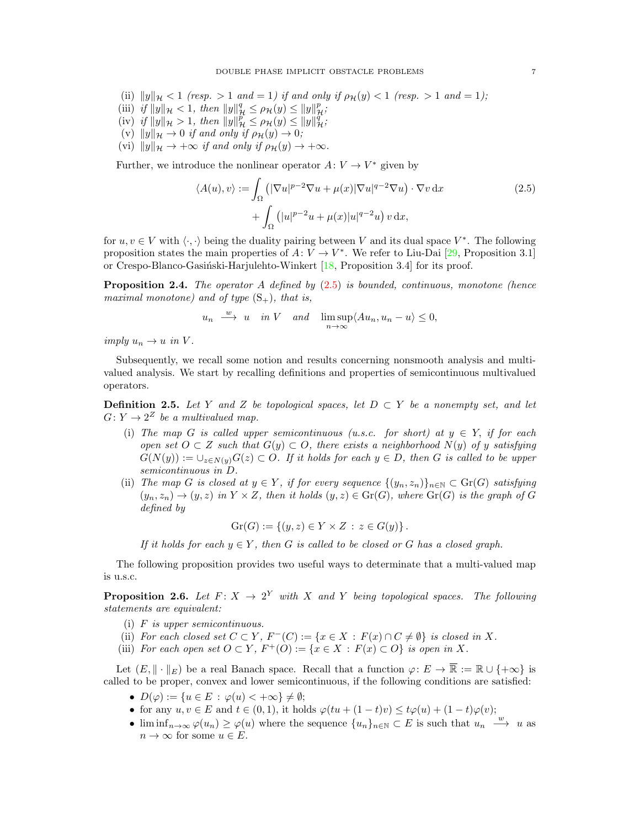- (ii)  $||y||_{\mathcal{H}} < 1$  (resp.  $> 1$  and  $= 1$ ) if and only if  $\rho_{\mathcal{H}}(y) < 1$  (resp.  $> 1$  and  $= 1$ );
- (iii) if  $||y||_{\mathcal{H}} < 1$ , then  $||y||_{\mathcal{H}}^q \le \rho_{\mathcal{H}}(y) \le ||y||_{\mathcal{H}}^p$ ;
- (iv) if  $||y||_{\mathcal{H}} > 1$ , then  $||y||_{\mathcal{H}}^p \le \rho_{\mathcal{H}}(y) \le ||y||_{\mathcal{H}}^q$ ;
- (v)  $||y||_{\mathcal{H}} \to 0$  if and only if  $\rho_{\mathcal{H}}(y) \to 0;$
- (vi)  $||y||_{\mathcal{H}} \rightarrow +\infty$  if and only if  $\rho_{\mathcal{H}}(y) \rightarrow +\infty$ .

Further, we introduce the nonlinear operator  $A: V \to V^*$  given by

<span id="page-6-0"></span>
$$
\langle A(u), v \rangle := \int_{\Omega} \left( |\nabla u|^{p-2} \nabla u + \mu(x) |\nabla u|^{q-2} \nabla u \right) \cdot \nabla v \, dx
$$
  
+ 
$$
\int_{\Omega} \left( |u|^{p-2} u + \mu(x) |u|^{q-2} u \right) v \, dx,
$$
 (2.5)

for  $u, v \in V$  with  $\langle \cdot, \cdot \rangle$  being the duality pairing between V and its dual space  $V^*$ . The following proposition states the main properties of  $A: V \to V^*$ . We refer to Liu-Dai [\[29,](#page-23-24) Proposition 3.1] or Crespo-Blanco-Gasiński-Harjulehto-Winkert  $[18,$  Proposition 3.4] for its proof.

<span id="page-6-2"></span>**Proposition 2.4.** The operator A defined by  $(2.5)$  is bounded, continuous, monotone (hence maximal monotone) and of type  $(S_+)$ , that is,

$$
u_n \xrightarrow{w} u
$$
 in V and  $\limsup_{n \to \infty} \langle Au_n, u_n - u \rangle \leq 0$ ,

imply  $u_n \to u$  in V.

Subsequently, we recall some notion and results concerning nonsmooth analysis and multivalued analysis. We start by recalling definitions and properties of semicontinuous multivalued operators.

**Definition 2.5.** Let Y and Z be topological spaces, let  $D \subset Y$  be a nonempty set, and let  $G: Y \to 2^Z$  be a multivalued map.

- (i) The map G is called upper semicontinuous (u.s.c. for short) at  $y \in Y$ , if for each open set  $O \subset Z$  such that  $G(y) \subset O$ , there exists a neighborhood  $N(y)$  of y satisfying  $G(N(y)) := \bigcup_{z \in N(y)} G(z) \subset O$ . If it holds for each  $y \in D$ , then G is called to be upper semicontinuous in D.
- (ii) The map G is closed at  $y \in Y$ , if for every sequence  $\{(y_n, z_n)\}_{n \in \mathbb{N}} \subset \text{Gr}(G)$  satisfying  $(y_n, z_n) \to (y, z)$  in  $Y \times Z$ , then it holds  $(y, z) \in Gr(G)$ , where  $Gr(G)$  is the graph of G defined by

$$
Gr(G) := \{ (y, z) \in Y \times Z : z \in G(y) \}.
$$

If it holds for each  $y \in Y$ , then G is called to be closed or G has a closed graph.

The following proposition provides two useful ways to determinate that a multi-valued map is u.s.c.

<span id="page-6-1"></span>**Proposition 2.6.** Let  $F: X \to 2^Y$  with X and Y being topological spaces. The following statements are equivalent:

- (i) F is upper semicontinuous.
- (ii) For each closed set  $C \subset Y$ ,  $F^{-}(C) := \{x \in X : F(x) \cap C \neq \emptyset\}$  is closed in X.
- (iii) For each open set  $O \subset Y$ ,  $F^+(O) := \{x \in X : F(x) \subset O\}$  is open in X.

Let  $(E, \|\cdot\|_E)$  be a real Banach space. Recall that a function  $\varphi: E \to \overline{\mathbb{R}} := \mathbb{R} \cup \{+\infty\}$  is called to be proper, convex and lower semicontinuous, if the following conditions are satisfied:

- $D(\varphi) := \{u \in E : \varphi(u) < +\infty\} \neq \emptyset;$
- for any  $u, v \in E$  and  $t \in (0, 1)$ , it holds  $\varphi(tu + (1-t)v) \leq t\varphi(u) + (1-t)\varphi(v);$
- $\liminf_{n\to\infty}\varphi(u_n)\geq\varphi(u)$  where the sequence  $\{u_n\}_{n\in\mathbb{N}}\subset E$  is such that  $u_n \stackrel{w}{\longrightarrow} u$  as  $n \to \infty$  for some  $u \in E$ .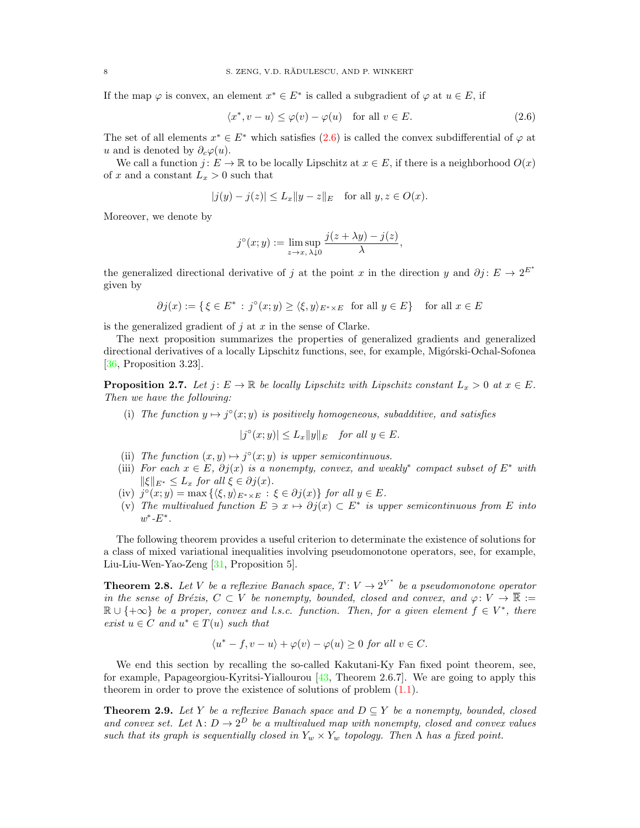If the map  $\varphi$  is convex, an element  $x^* \in E^*$  is called a subgradient of  $\varphi$  at  $u \in E$ , if

<span id="page-7-0"></span>
$$
\langle x^*, v - u \rangle \le \varphi(v) - \varphi(u) \quad \text{for all } v \in E. \tag{2.6}
$$

The set of all elements  $x^* \in E^*$  which satisfies  $(2.6)$  is called the convex subdifferential of  $\varphi$  at u and is denoted by  $\partial_c\varphi(u)$ .

We call a function  $j: E \to \mathbb{R}$  to be locally Lipschitz at  $x \in E$ , if there is a neighborhood  $O(x)$ of x and a constant  $L_x > 0$  such that

$$
|j(y) - j(z)| \le L_x \|y - z\|_E
$$
 for all  $y, z \in O(x)$ .

Moreover, we denote by

$$
j^{\circ}(x; y) := \limsup_{z \to x, \lambda \downarrow 0} \frac{j(z + \lambda y) - j(z)}{\lambda},
$$

the generalized directional derivative of j at the point x in the direction y and  $\partial j: E \to 2^{E^*}$ given by

$$
\partial j(x) := \{ \xi \in E^* : j^{\circ}(x; y) \ge \langle \xi, y \rangle_{E^* \times E} \text{ for all } y \in E \} \text{ for all } x \in E
$$

is the generalized gradient of  $j$  at  $x$  in the sense of Clarke.

The next proposition summarizes the properties of generalized gradients and generalized directional derivatives of a locally Lipschitz functions, see, for example, Migórski-Ochal-Sofonea [\[36,](#page-23-27) Proposition 3.23].

<span id="page-7-3"></span>**Proposition 2.7.** Let  $j: E \to \mathbb{R}$  be locally Lipschitz with Lipschitz constant  $L_x > 0$  at  $x \in E$ . Then we have the following:

(i) The function  $y \mapsto j^{\circ}(x; y)$  is positively homogeneous, subadditive, and satisfies

$$
|j^{\circ}(x;y)| \le L_x \|y\|_E \quad \text{for all } y \in E.
$$

- (ii) The function  $(x, y) \mapsto j^{\circ}(x, y)$  is upper semicontinuous.
- (iii) For each  $x \in E$ ,  $\partial j(x)$  is a nonempty, convex, and weakly<sup>\*</sup> compact subset of  $E^*$  with  $\|\xi\|_{E^*} \leq L_x$  for all  $\xi \in \partial j(x)$ .
- (iv)  $j^{\circ}(x; y) = \max\left\{ \langle \xi, y \rangle_{E^* \times E} : \xi \in \partial j(x) \right\}$  for all  $y \in E$ .
- (v) The multivalued function  $E \ni x \mapsto \partial j(x) \subset E^*$  is upper semicontinuous from E into  $w^*$ - $E^*$ .

The following theorem provides a useful criterion to determinate the existence of solutions for a class of mixed variational inequalities involving pseudomonotone operators, see, for example, Liu-Liu-Wen-Yao-Zeng [\[31,](#page-23-28) Proposition 5].

<span id="page-7-1"></span>**Theorem 2.8.** Let V be a reflexive Banach space,  $T: V \to 2^{V^*}$  be a pseudomonotone operator in the sense of Brézis,  $C \subset V$  be nonempty, bounded, closed and convex, and  $\varphi: V \to \overline{\mathbb{R}} :=$  $\mathbb{R} \cup \{+\infty\}$  be a proper, convex and l.s.c. function. Then, for a given element  $f \in V^*$ , there exist  $u \in C$  and  $u^* \in T(u)$  such that

$$
\langle u^* - f, v - u \rangle + \varphi(v) - \varphi(u) \ge 0 \text{ for all } v \in C.
$$

We end this section by recalling the so-called Kakutani-Ky Fan fixed point theorem, see, for example, Papageorgiou-Kyritsi-Yiallourou [\[43,](#page-23-29) Theorem 2.6.7]. We are going to apply this theorem in order to prove the existence of solutions of problem [\(1.1\)](#page-0-0).

<span id="page-7-2"></span>**Theorem 2.9.** Let Y be a reflexive Banach space and  $D \subseteq Y$  be a nonempty, bounded, closed and convex set. Let  $\Lambda: D \to 2^D$  be a multivalued map with nonempty, closed and convex values such that its graph is sequentially closed in  $Y_w \times Y_w$  topology. Then  $\Lambda$  has a fixed point.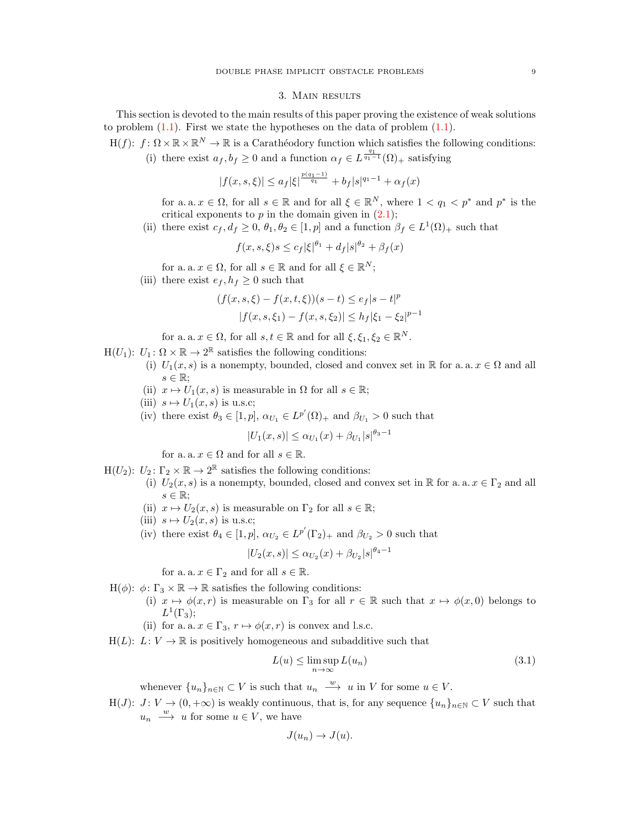## 3. Main results

<span id="page-8-0"></span>This section is devoted to the main results of this paper proving the existence of weak solutions to problem  $(1.1)$ . First we state the hypotheses on the data of problem  $(1.1)$ .

 $H(f): f: \Omega \times \mathbb{R} \times \mathbb{R}^N \to \mathbb{R}$  is a Carathéodory function which satisfies the following conditions:

(i) there exist  $a_f, b_f \geq 0$  and a function  $\alpha_f \in L^{\frac{q_1}{q_1-1}}(\Omega)_+$  satisfying

$$
|f(x, s, \xi)| \le a_f |\xi|^{\frac{p(q_1 - 1)}{q_1}} + b_f |s|^{q_1 - 1} + \alpha_f(x)
$$

for a. a.  $x \in \Omega$ , for all  $s \in \mathbb{R}$  and for all  $\xi \in \mathbb{R}^N$ , where  $1 < q_1 < p^*$  and  $p^*$  is the critical exponents to  $p$  in the domain given in  $(2.1)$ ;

(ii) there exist  $c_f, d_f \geq 0, \theta_1, \theta_2 \in [1, p]$  and a function  $\beta_f \in L^1(\Omega)_+$  such that

$$
f(x, s, \xi)s \le c_f |\xi|^{\theta_1} + d_f |s|^{\theta_2} + \beta_f(x)
$$

for a. a.  $x \in \Omega$ , for all  $s \in \mathbb{R}$  and for all  $\xi \in \mathbb{R}^N$ ;

(iii) there exist  $e_f, h_f \geq 0$  such that

$$
(f(x, s, \xi) - f(x, t, \xi))(s - t) \le e_f |s - t|^p
$$
  

$$
|f(x, s, \xi_1) - f(x, s, \xi_2)| \le h_f |\xi_1 - \xi_2|^{p-1}
$$

for a. a.  $x \in \Omega$ , for all  $s, t \in \mathbb{R}$  and for all  $\xi, \xi_1, \xi_2 \in \mathbb{R}^N$ .

 $H(U_1): U_1: \Omega \times \mathbb{R} \to 2^{\mathbb{R}}$  satisfies the following conditions:

- (i)  $U_1(x, s)$  is a nonempty, bounded, closed and convex set in R for a. a.  $x \in \Omega$  and all  $s \in \mathbb{R}$ ;
- (ii)  $x \mapsto U_1(x, s)$  is measurable in  $\Omega$  for all  $s \in \mathbb{R}$ ;
- (iii)  $s \mapsto U_1(x, s)$  is u.s.c;
- (iv) there exist  $\theta_3 \in [1, p]$ ,  $\alpha_{U_1} \in L^{p'}(\Omega)_+$  and  $\beta_{U_1} > 0$  such that

 $|U_1(x, s)| \leq \alpha_{U_1}(x) + \beta_{U_1}|s|^{\theta_3 - 1}$ 

for a. a.  $x \in \Omega$  and for all  $s \in \mathbb{R}$ .

- H(U<sub>2</sub>):  $U_2$ :  $\Gamma_2 \times \mathbb{R} \to 2^{\mathbb{R}}$  satisfies the following conditions:
	- (i)  $U_2(x, s)$  is a nonempty, bounded, closed and convex set in R for a. a.  $x \in \Gamma_2$  and all  $s \in \mathbb{R}$ ;
	- (ii)  $x \mapsto U_2(x, s)$  is measurable on  $\Gamma_2$  for all  $s \in \mathbb{R}$ ;
	- (iii)  $s \mapsto U_2(x, s)$  is u.s.c;
	- (iv) there exist  $\theta_4 \in [1, p]$ ,  $\alpha_{U_2} \in L^{p'}(\Gamma_2)_+$  and  $\beta_{U_2} > 0$  such that

$$
|U_2(x,s)| \le \alpha_{U_2}(x) + \beta_{U_2}|s|^{\theta_4 - 1}
$$

for a. a.  $x \in \Gamma_2$  and for all  $s \in \mathbb{R}$ .

- H( $\phi$ ):  $\phi$ :  $\Gamma_3 \times \mathbb{R} \to \mathbb{R}$  satisfies the following conditions:
	- (i)  $x \mapsto \phi(x, r)$  is measurable on  $\Gamma_3$  for all  $r \in \mathbb{R}$  such that  $x \mapsto \phi(x, 0)$  belongs to  $L^1(\Gamma_3);$
	- (ii) for a. a.  $x \in \Gamma_3$ ,  $r \mapsto \phi(x, r)$  is convex and l.s.c.
- $H(L): L: V \to \mathbb{R}$  is positively homogeneous and subadditive such that

$$
L(u) \le \limsup_{n \to \infty} L(u_n)
$$
\n(3.1)

whenever  $\{u_n\}_{n\in\mathbb{N}}\subset V$  is such that  $u_n \stackrel{w}{\longrightarrow} u$  in V for some  $u \in V$ .

H(J):  $J: V \to (0, +\infty)$  is weakly continuous, that is, for any sequence  $\{u_n\}_{n\in\mathbb{N}} \subset V$  such that  $u_n \stackrel{w}{\longrightarrow} u$  for some  $u \in V$ , we have

<span id="page-8-1"></span>
$$
J(u_n) \to J(u).
$$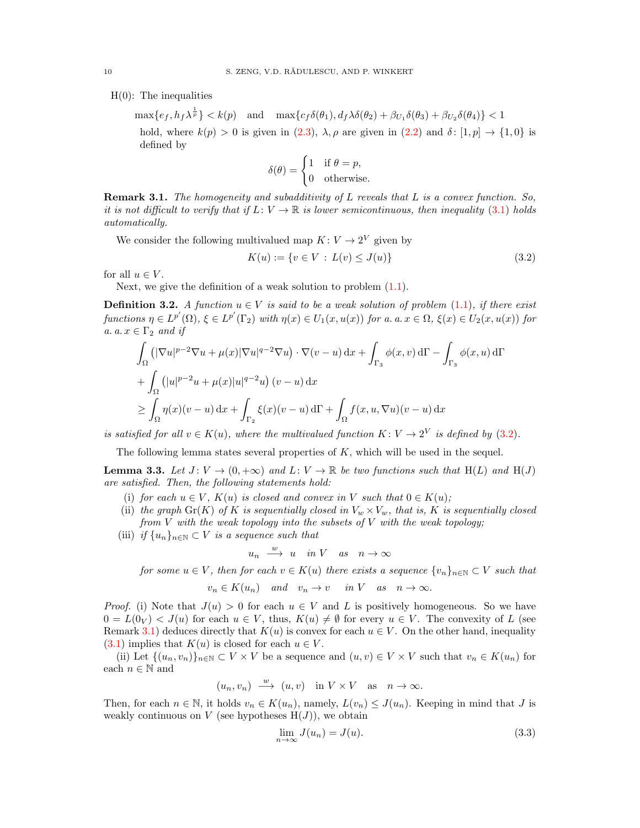$H(0)$ : The inequalities

 $\max\{e_f,h_f\lambda^{\frac{1}{p}}\}< k(p)\quad\text{and}\quad \max\{c_f\delta(\theta_1),d_f\lambda\delta(\theta_2)+\beta_{U_1}\delta(\theta_3)+\beta_{U_2}\delta(\theta_4)\}< 1$ hold, where  $k(p) > 0$  is given in [\(2.3\)](#page-4-3),  $\lambda, \rho$  are given in [\(2.2\)](#page-4-4) and  $\delta : [1, p] \rightarrow \{1, 0\}$  is defined by

<span id="page-9-0"></span>
$$
\delta(\theta) = \begin{cases} 1 & \text{if } \theta = p, \\ 0 & \text{otherwise.} \end{cases}
$$

<span id="page-9-1"></span>**Remark 3.1.** The homogeneity and subadditivity of  $L$  reveals that  $L$  is a convex function. So, it is not difficult to verify that if  $L: V \to \mathbb{R}$  is lower semicontinuous, then inequality [\(3.1\)](#page-8-1) holds automatically.

We consider the following multivalued map  $K: V \to 2^V$  given by

$$
K(u) := \{ v \in V : L(v) \le J(u) \}
$$
\n(3.2)

for all  $u \in V$ .

Next, we give the definition of a weak solution to problem  $(1.1)$ .

<span id="page-9-3"></span>**Definition 3.2.** A function  $u \in V$  is said to be a weak solution of problem [\(1.1\)](#page-0-0), if there exist functions  $\eta \in L^{p'}(\Omega)$ ,  $\xi \in L^{p'}(\Gamma_2)$  with  $\eta(x) \in U_1(x, u(x))$  for a. a.  $x \in \Omega$ ,  $\xi(x) \in U_2(x, u(x))$  for a.  $a \nvert x \in \Gamma_2$  and if

$$
\int_{\Omega} \left( |\nabla u|^{p-2} \nabla u + \mu(x) |\nabla u|^{q-2} \nabla u \right) \cdot \nabla (v - u) \, dx + \int_{\Gamma_3} \phi(x, v) \, d\Gamma - \int_{\Gamma_3} \phi(x, u) \, d\Gamma
$$
\n
$$
+ \int_{\Omega} \left( |u|^{p-2} u + \mu(x) |u|^{q-2} u \right) (v - u) \, dx
$$
\n
$$
\geq \int_{\Omega} \eta(x) (v - u) \, dx + \int_{\Gamma_2} \xi(x) (v - u) \, d\Gamma + \int_{\Omega} f(x, u, \nabla u) (v - u) \, dx
$$

is satisfied for all  $v \in K(u)$ , where the multivalued function  $K: V \to 2^V$  is defined by [\(3.2\)](#page-9-0).

The following lemma states several properties of  $K$ , which will be used in the sequel.

<span id="page-9-4"></span>**Lemma 3.3.** Let  $J: V \to (0, +\infty)$  and  $L: V \to \mathbb{R}$  be two functions such that H(L) and H(J) are satisfied. Then, the following statements hold:

- (i) for each  $u \in V$ ,  $K(u)$  is closed and convex in V such that  $0 \in K(u)$ ;
- (ii) the graph Gr(K) of K is sequentially closed in  $V_w \times V_w$ , that is, K is sequentially closed from  $V$  with the weak topology into the subsets of  $V$  with the weak topology;
- (iii) if  $\{u_n\}_{n\in\mathbb{N}}\subset V$  is a sequence such that

$$
u_n \xrightarrow{w} u \quad in \ V \quad as \quad n \to \infty
$$

for some  $u \in V$ , then for each  $v \in K(u)$  there exists a sequence  $\{v_n\}_{n \in \mathbb{N}} \subset V$  such that

$$
v_n \in K(u_n) \quad and \quad v_n \to v \quad in \ V \quad as \quad n \to \infty.
$$

*Proof.* (i) Note that  $J(u) > 0$  for each  $u \in V$  and L is positively homogeneous. So we have  $0 = L(0_V) < J(u)$  for each  $u \in V$ , thus,  $K(u) \neq \emptyset$  for every  $u \in V$ . The convexity of L (see Remark [3.1\)](#page-9-1) deduces directly that  $K(u)$  is convex for each  $u \in V$ . On the other hand, inequality [\(3.1\)](#page-8-1) implies that  $K(u)$  is closed for each  $u \in V$ .

(ii) Let  $\{(u_n, v_n)\}_{n\in\mathbb{N}}\subset V\times V$  be a sequence and  $(u, v)\in V\times V$  such that  $v_n\in K(u_n)$  for each  $n \in \mathbb{N}$  and

$$
(u_n, v_n) \xrightarrow{w} (u, v)
$$
 in  $V \times V$  as  $n \to \infty$ .

Then, for each  $n \in \mathbb{N}$ , it holds  $v_n \in K(u_n)$ , namely,  $L(v_n) \leq J(u_n)$ . Keeping in mind that J is weakly continuous on V (see hypotheses  $H(J)$ ), we obtain

<span id="page-9-2"></span>
$$
\lim_{n \to \infty} J(u_n) = J(u). \tag{3.3}
$$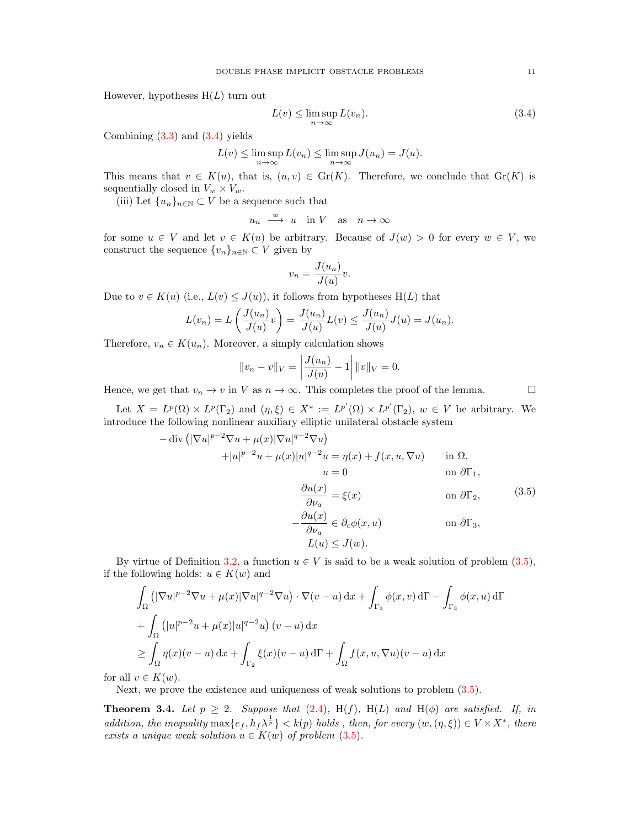However, hypotheses  $H(L)$  turn out

<span id="page-10-2"></span>
$$
L(v) \le \limsup_{n \to \infty} L(v_n). \tag{3.4}
$$

Combining  $(3.3)$  and  $(3.4)$  yields

$$
L(v) \le \limsup_{n \to \infty} L(v_n) \le \limsup_{n \to \infty} J(u_n) = J(u).
$$

This means that  $v \in K(u)$ , that is,  $(u, v) \in Gr(K)$ . Therefore, we conclude that  $Gr(K)$  is sequentially closed in  $V_w \times V_w$ .

(iii) Let  $\{u_n\}_{n\in\mathbb{N}}\subset V$  be a sequence such that

 $u_n \stackrel{w}{\longrightarrow} u \text{ in } V \text{ as } n \to \infty$ 

for some  $u \in V$  and let  $v \in K(u)$  be arbitrary. Because of  $J(w) > 0$  for every  $w \in V$ , we construct the sequence  $\{v_n\}_{n\in\mathbb{N}}\subset V$  given by

$$
v_n = \frac{J(u_n)}{J(u)}v.
$$

Due to  $v \in K(u)$  (i.e.,  $L(v) \leq J(u)$ ), it follows from hypotheses  $H(L)$  that

$$
L(v_n) = L\left(\frac{J(u_n)}{J(u)}v\right) = \frac{J(u_n)}{J(u)}L(v) \le \frac{J(u_n)}{J(u)}J(u) = J(u_n).
$$

Therefore,  $v_n \in K(u_n)$ . Moreover, a simply calculation shows

$$
||v_n - v||_V = \left| \frac{J(u_n)}{J(u)} - 1 \right| ||v||_V = 0.
$$

Hence, we get that  $v_n \to v$  in V as  $n \to \infty$ . This completes the proof of the lemma.

Let  $X = L^p(\Omega) \times L^p(\Gamma_2)$  and  $(\eta, \xi) \in X^* := L^{p'}(\Omega) \times L^{p'}(\Gamma_2)$ ,  $w \in V$  be arbitrary. We introduce the following nonlinear auxiliary elliptic unilateral obstacle system

<span id="page-10-0"></span>
$$
-\operatorname{div}\left(|\nabla u|^{p-2}\nabla u + \mu(x)|\nabla u|^{q-2}\nabla u\right)
$$
  
\n
$$
+|u|^{p-2}u + \mu(x)|u|^{q-2}u = \eta(x) + f(x, u, \nabla u) \quad \text{in } \Omega,
$$
  
\n
$$
u = 0 \quad \text{on } \partial\Gamma_1,
$$
  
\n
$$
\frac{\partial u(x)}{\partial \nu_a} = \xi(x) \quad \text{on } \partial\Gamma_2,
$$
  
\n
$$
-\frac{\partial u(x)}{\partial \nu_a} \in \partial_c \phi(x, u) \quad \text{on } \partial\Gamma_3,
$$
  
\n(3.5)

$$
L(u) \leq J(w).
$$

By virtue of Definition [3.2,](#page-9-3) a function  $u \in V$  is said to be a weak solution of problem [\(3.5\)](#page-10-0), if the following holds:  $u \in K(w)$  and

$$
\int_{\Omega} \left( |\nabla u|^{p-2} \nabla u + \mu(x) |\nabla u|^{q-2} \nabla u \right) \cdot \nabla (v - u) \, dx + \int_{\Gamma_3} \phi(x, v) \, d\Gamma - \int_{\Gamma_3} \phi(x, u) \, d\Gamma
$$
\n
$$
+ \int_{\Omega} \left( |u|^{p-2} u + \mu(x) |u|^{q-2} u \right) (v - u) \, dx
$$
\n
$$
\geq \int_{\Omega} \eta(x) (v - u) \, dx + \int_{\Gamma_2} \xi(x) (v - u) \, d\Gamma + \int_{\Omega} f(x, u, \nabla u) (v - u) \, dx
$$

for all  $v \in K(w)$ .

Next, we prove the existence and uniqueness of weak solutions to problem [\(3.5\)](#page-10-0).

<span id="page-10-1"></span>**Theorem 3.4.** Let  $p \geq 2$ . Suppose that [\(2.4\)](#page-4-1), H(f), H(L) and H( $\phi$ ) are satisfied. If, in addition, the inequality  $\max\{e_f, h_f\lambda^{\frac{1}{p}}\} < k(p)$  holds, then, for every  $(w, (\eta, \xi)) \in V \times X^*$ , there exists a unique weak solution  $u \in K(w)$  of problem  $(3.5)$ .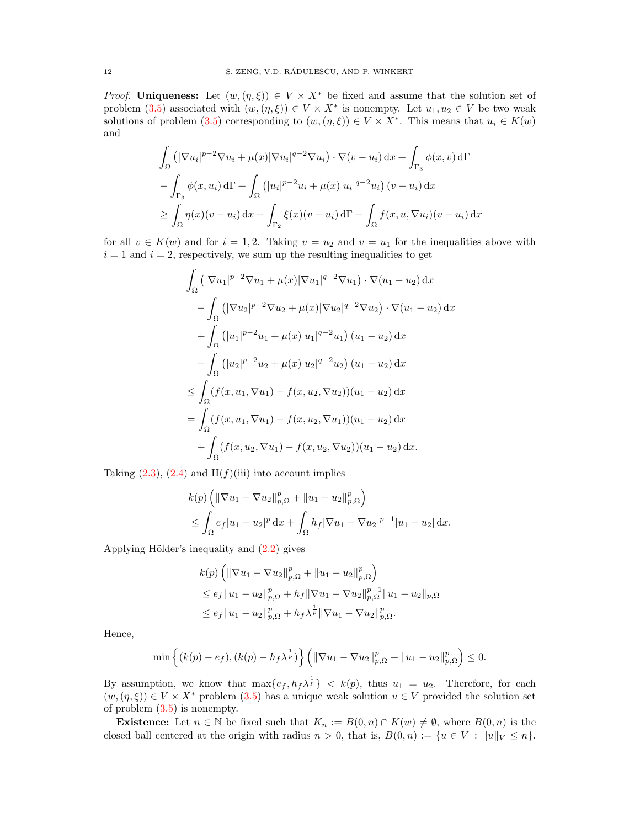*Proof.* Uniqueness: Let  $(w, (\eta, \xi)) \in V \times X^*$  be fixed and assume that the solution set of problem [\(3.5\)](#page-10-0) associated with  $(w, (\eta, \xi)) \in V \times X^*$  is nonempty. Let  $u_1, u_2 \in V$  be two weak solutions of problem [\(3.5\)](#page-10-0) corresponding to  $(w, (\eta, \xi)) \in V \times X^*$ . This means that  $u_i \in K(w)$ and

$$
\int_{\Omega} \left( |\nabla u_i|^{p-2} \nabla u_i + \mu(x) |\nabla u_i|^{q-2} \nabla u_i \right) \cdot \nabla (v - u_i) \, dx + \int_{\Gamma_3} \phi(x, v) \, d\Gamma
$$
\n
$$
- \int_{\Gamma_3} \phi(x, u_i) \, d\Gamma + \int_{\Omega} \left( |u_i|^{p-2} u_i + \mu(x) |u_i|^{q-2} u_i \right) (v - u_i) \, dx
$$
\n
$$
\geq \int_{\Omega} \eta(x) (v - u_i) \, dx + \int_{\Gamma_2} \xi(x) (v - u_i) \, d\Gamma + \int_{\Omega} f(x, u, \nabla u_i) (v - u_i) \, dx
$$

for all  $v \in K(w)$  and for  $i = 1, 2$ . Taking  $v = u_2$  and  $v = u_1$  for the inequalities above with  $i = 1$  and  $i = 2$ , respectively, we sum up the resulting inequalities to get

$$
\int_{\Omega} \left( |\nabla u_1|^{p-2} \nabla u_1 + \mu(x) |\nabla u_1|^{q-2} \nabla u_1 \right) \cdot \nabla (u_1 - u_2) \, dx
$$

$$
- \int_{\Omega} \left( |\nabla u_2|^{p-2} \nabla u_2 + \mu(x) |\nabla u_2|^{q-2} \nabla u_2 \right) \cdot \nabla (u_1 - u_2) \, dx
$$

$$
+ \int_{\Omega} \left( |u_1|^{p-2} u_1 + \mu(x) |u_1|^{q-2} u_1 \right) (u_1 - u_2) \, dx
$$

$$
- \int_{\Omega} \left( |u_2|^{p-2} u_2 + \mu(x) |u_2|^{q-2} u_2 \right) (u_1 - u_2) \, dx
$$

$$
\leq \int_{\Omega} \left( f(x, u_1, \nabla u_1) - f(x, u_2, \nabla u_2) \right) (u_1 - u_2) \, dx
$$

$$
= \int_{\Omega} \left( f(x, u_1, \nabla u_1) - f(x, u_2, \nabla u_1) \right) (u_1 - u_2) \, dx
$$

$$
+ \int_{\Omega} \left( f(x, u_2, \nabla u_1) - f(x, u_2, \nabla u_2) \right) (u_1 - u_2) \, dx.
$$

Taking  $(2.3)$ ,  $(2.4)$  and  $H(f)(iii)$  into account implies

$$
k(p) \left( \|\nabla u_1 - \nabla u_2\|_{p,\Omega}^p + \|u_1 - u_2\|_{p,\Omega}^p \right) \n\leq \int_{\Omega} e_f |u_1 - u_2|^p \, \mathrm{d}x + \int_{\Omega} h_f |\nabla u_1 - \nabla u_2|^{p-1} |u_1 - u_2| \, \mathrm{d}x.
$$

Applying Hölder's inequality and  $(2.2)$  gives

$$
k(p) \left( \|\nabla u_1 - \nabla u_2\|_{p,\Omega}^p + \|u_1 - u_2\|_{p,\Omega}^p \right)
$$
  
\n
$$
\leq e_f \|u_1 - u_2\|_{p,\Omega}^p + h_f \|\nabla u_1 - \nabla u_2\|_{p,\Omega}^{p-1} \|u_1 - u_2\|_{p,\Omega}
$$
  
\n
$$
\leq e_f \|u_1 - u_2\|_{p,\Omega}^p + h_f \lambda^{\frac{1}{p}} \|\nabla u_1 - \nabla u_2\|_{p,\Omega}^p.
$$

Hence,

$$
\min\left\{(k(p)-e_f),(k(p)-h_f\lambda^{\frac{1}{p}})\right\}\left(\|\nabla u_1-\nabla u_2\|_{p,\Omega}^p+\|u_1-u_2\|_{p,\Omega}^p\right)\leq 0.
$$

By assumption, we know that  $\max\{e_f, h_f\lambda^{\frac{1}{p}}\} < k(p)$ , thus  $u_1 = u_2$ . Therefore, for each  $(w, (\eta, \xi)) \in V \times X^*$  problem [\(3.5\)](#page-10-0) has a unique weak solution  $u \in V$  provided the solution set of problem [\(3.5\)](#page-10-0) is nonempty.

**Existence:** Let  $n \in \mathbb{N}$  be fixed such that  $K_n := \overline{B(0,n)} \cap K(w) \neq \emptyset$ , where  $\overline{B(0,n)}$  is the closed ball centered at the origin with radius  $n > 0$ , that is,  $\overline{B(0,n)} := \{u \in V : ||u||_V \le n\}.$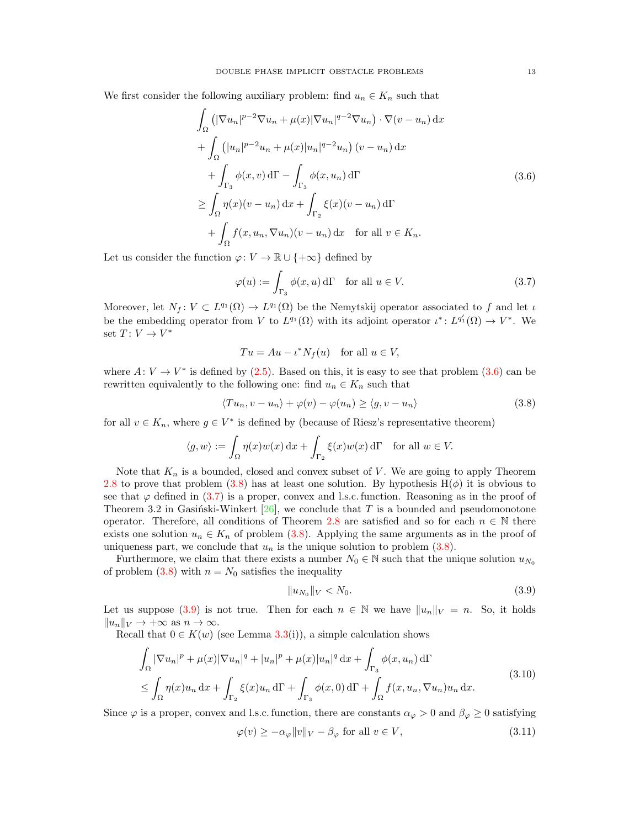We first consider the following auxiliary problem: find  $u_n \in K_n$  such that

$$
\int_{\Omega} \left( |\nabla u_n|^{p-2} \nabla u_n + \mu(x) |\nabla u_n|^{q-2} \nabla u_n \right) \cdot \nabla (v - u_n) \, dx
$$
\n
$$
+ \int_{\Omega} \left( |u_n|^{p-2} u_n + \mu(x) |u_n|^{q-2} u_n \right) (v - u_n) \, dx
$$
\n
$$
+ \int_{\Gamma_3} \phi(x, v) \, d\Gamma - \int_{\Gamma_3} \phi(x, u_n) \, d\Gamma
$$
\n
$$
\geq \int_{\Omega} \eta(x) (v - u_n) \, dx + \int_{\Gamma_2} \xi(x) (v - u_n) \, d\Gamma
$$
\n
$$
+ \int_{\Omega} f(x, u_n, \nabla u_n) (v - u_n) \, dx \quad \text{for all } v \in K_n.
$$
\n(3.6)

Let us consider the function  $\varphi: V \to \mathbb{R} \cup \{+\infty\}$  defined by

<span id="page-12-2"></span><span id="page-12-0"></span>
$$
\varphi(u) := \int_{\Gamma_3} \phi(x, u) d\Gamma \quad \text{for all } u \in V. \tag{3.7}
$$

Moreover, let  $N_f: V \subset L^{q_1}(\Omega) \to L^{q_1}(\Omega)$  be the Nemytskij operator associated to f and let  $\iota$ be the embedding operator from V to  $L^{q_1}(\Omega)$  with its adjoint operator  $\iota^*: L^{q'_1}(\Omega) \to V^*$ . We set  $T: V \to V^*$ 

<span id="page-12-1"></span>
$$
Tu = Au - \iota^* N_f(u) \quad \text{for all } u \in V,
$$

where  $A: V \to V^*$  is defined by [\(2.5\)](#page-6-0). Based on this, it is easy to see that problem [\(3.6\)](#page-12-0) can be rewritten equivalently to the following one: find  $u_n \in K_n$  such that

$$
\langle Tu_n, v - u_n \rangle + \varphi(v) - \varphi(u_n) \ge \langle g, v - u_n \rangle \tag{3.8}
$$

for all  $v \in K_n$ , where  $g \in V^*$  is defined by (because of Riesz's representative theorem)

$$
\langle g, w \rangle := \int_{\Omega} \eta(x) w(x) \, dx + \int_{\Gamma_2} \xi(x) w(x) \, d\Gamma \quad \text{for all } w \in V.
$$

Note that  $K_n$  is a bounded, closed and convex subset of V. We are going to apply Theorem [2.8](#page-7-1) to prove that problem [\(3.8\)](#page-12-1) has at least one solution. By hypothesis  $H(\phi)$  it is obvious to see that  $\varphi$  defined in [\(3.7\)](#page-12-2) is a proper, convex and l.s.c. function. Reasoning as in the proof of Theorem 3.2 in Gasinski-Winkert [\[26\]](#page-23-18), we conclude that T is a bounded and pseudomonotone operator. Therefore, all conditions of Theorem [2.8](#page-7-1) are satisfied and so for each  $n \in \mathbb{N}$  there exists one solution  $u_n \in K_n$  of problem [\(3.8\)](#page-12-1). Applying the same arguments as in the proof of uniqueness part, we conclude that  $u_n$  is the unique solution to problem  $(3.8)$ .

Furthermore, we claim that there exists a number  $N_0 \in \mathbb{N}$  such that the unique solution  $u_{N_0}$ of problem  $(3.8)$  with  $n = N_0$  satisfies the inequality

<span id="page-12-4"></span><span id="page-12-3"></span>
$$
||u_{N_0}||_V < N_0. \t\t(3.9)
$$

Let us suppose [\(3.9\)](#page-12-3) is not true. Then for each  $n \in \mathbb{N}$  we have  $||u_n||_V = n$ . So, it holds  $||u_n||_V \to +\infty$  as  $n \to \infty$ .

<span id="page-12-5"></span>Recall that  $0 \in K(w)$  (see Lemma [3.3\(](#page-9-4)i)), a simple calculation shows

$$
\int_{\Omega} |\nabla u_n|^p + \mu(x) |\nabla u_n|^q + |u_n|^p + \mu(x) |u_n|^q dx + \int_{\Gamma_3} \phi(x, u_n) d\Gamma
$$
\n
$$
\leq \int_{\Omega} \eta(x) u_n dx + \int_{\Gamma_2} \xi(x) u_n d\Gamma + \int_{\Gamma_3} \phi(x, 0) d\Gamma + \int_{\Omega} f(x, u_n, \nabla u_n) u_n dx.
$$
\n(3.10)

Since  $\varphi$  is a proper, convex and l.s.c. function, there are constants  $\alpha_{\varphi} > 0$  and  $\beta_{\varphi} \geq 0$  satisfying

$$
\varphi(v) \ge -\alpha_{\varphi} \|v\|_{V} - \beta_{\varphi} \text{ for all } v \in V,
$$
\n(3.11)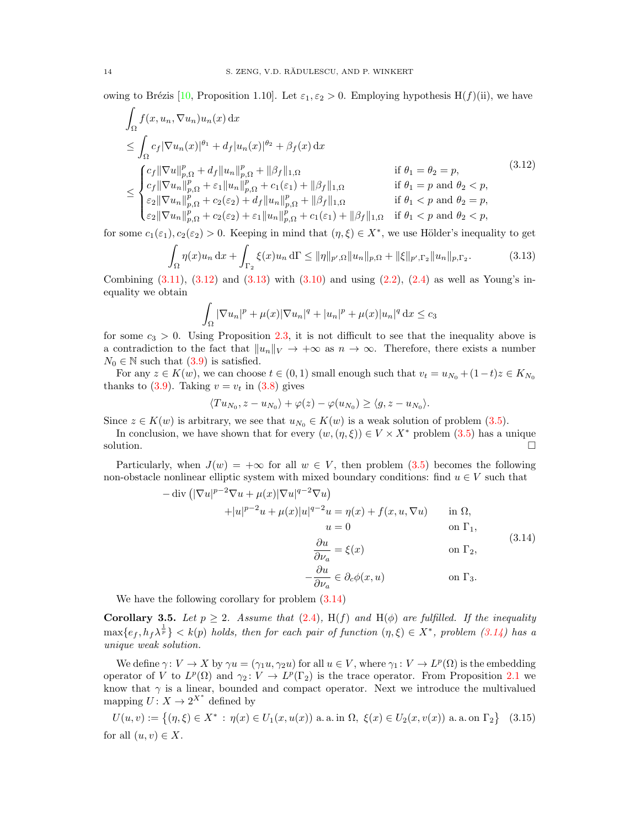owing to Brézis [\[10,](#page-22-11) Proposition 1.10]. Let  $\varepsilon_1, \varepsilon_2 > 0$ . Employing hypothesis H(f)(ii), we have

$$
\int_{\Omega} f(x, u_n, \nabla u_n) u_n(x) dx
$$
\n
$$
\leq \int_{\Omega} c_f |\nabla u_n(x)|^{\theta_1} + d_f |u_n(x)|^{\theta_2} + \beta_f(x) dx
$$
\n
$$
\leq \int_{\Omega} c_f |\nabla u||_{p,\Omega}^p + d_f ||u_n||_{p,\Omega}^p + ||\beta_f||_{1,\Omega} \quad \text{if } \theta_1 = \theta_2 = p,
$$
\n
$$
\leq \begin{cases} c_f ||\nabla u||_{p,\Omega}^p + c_f ||u_n||_{p,\Omega}^p + c_f(\varepsilon_1) + ||\beta_f||_{1,\Omega} & \text{if } \theta_1 = p \text{ and } \theta_2 < p, \\ \varepsilon_2 ||\nabla u_n||_{p,\Omega}^p + c_2(\varepsilon_2) + d_f ||u_n||_{p,\Omega}^p + ||\beta_f||_{1,\Omega} & \text{if } \theta_1 < p \text{ and } \theta_2 = p, \\ \varepsilon_2 ||\nabla u_n||_{p,\Omega}^p + c_2(\varepsilon_2) + \varepsilon_1 ||u_n||_{p,\Omega}^p + c_1(\varepsilon_1) + ||\beta_f||_{1,\Omega} & \text{if } \theta_1 < p \text{ and } \theta_2 < p, \end{cases} (3.12)
$$

for some  $c_1(\varepsilon_1), c_2(\varepsilon_2) > 0$ . Keeping in mind that  $(\eta, \xi) \in X^*$ , we use Hölder's inequality to get

$$
\int_{\Omega} \eta(x)u_n \, dx + \int_{\Gamma_2} \xi(x)u_n \, d\Gamma \le ||\eta||_{p',\Omega} ||u_n||_{p,\Omega} + ||\xi||_{p',\Gamma_2} ||u_n||_{p,\Gamma_2}.
$$
\n(3.13)

Combining  $(3.11)$ ,  $(3.12)$  and  $(3.13)$  with  $(3.10)$  and using  $(2.2)$ ,  $(2.4)$  as well as Young's inequality we obtain

<span id="page-13-1"></span><span id="page-13-0"></span>
$$
\int_{\Omega} |\nabla u_n|^p + \mu(x)|\nabla u_n|^q + |u_n|^p + \mu(x)|u_n|^q dx \le c_3
$$

for some  $c_3 > 0$ . Using Proposition [2.3,](#page-5-1) it is not difficult to see that the inequality above is a contradiction to the fact that  $||u_n||_V \to +\infty$  as  $n \to \infty$ . Therefore, there exists a number  $N_0 \in \mathbb{N}$  such that  $(3.9)$  is satisfied.

For any  $z \in K(w)$ , we can choose  $t \in (0, 1)$  small enough such that  $v_t = u_{N_0} + (1-t)z \in K_{N_0}$ thanks to [\(3.9\)](#page-12-3). Taking  $v = v_t$  in [\(3.8\)](#page-12-1) gives

$$
\langle Tu_{N_0}, z - u_{N_0} \rangle + \varphi(z) - \varphi(u_{N_0}) \ge \langle g, z - u_{N_0} \rangle.
$$

Since  $z \in K(w)$  is arbitrary, we see that  $u_{N_0} \in K(w)$  is a weak solution of problem [\(3.5\)](#page-10-0).

In conclusion, we have shown that for every  $(w, (\eta, \xi)) \in V \times X^*$  problem [\(3.5\)](#page-10-0) has a unique solution.  $\Box$ 

Particularly, when  $J(w) = +\infty$  for all  $w \in V$ , then problem [\(3.5\)](#page-10-0) becomes the following non-obstacle nonlinear elliptic system with mixed boundary conditions: find  $u \in V$  such that

<span id="page-13-2"></span>
$$
-\operatorname{div}\left(|\nabla u|^{p-2}\nabla u + \mu(x)|\nabla u|^{q-2}\nabla u\right) \n+|u|^{p-2}u + \mu(x)|u|^{q-2}u = \eta(x) + f(x, u, \nabla u) \quad \text{in } \Omega, \nu = 0 \quad \text{on } \Gamma_1, \n\frac{\partial u}{\partial \nu_a} = \xi(x) \quad \text{on } \Gamma_2, \n-\frac{\partial u}{\partial \nu_a} \in \partial_c \phi(x, u) \quad \text{on } \Gamma_3.
$$
\n(3.14)

We have the following corollary for problem [\(3.14\)](#page-13-2)

Corollary 3.5. Let  $p \geq 2$ . Assume that [\(2.4\)](#page-4-1), H(f) and H( $\phi$ ) are fulfilled. If the inequality  $\max\{e_f,h_f\lambda^{\frac{1}{p}}\} < k(p)$  holds, then for each pair of function  $(\eta,\xi) \in X^*$ , problem  $(3.14)$  has a unique weak solution.

We define  $\gamma: V \to X$  by  $\gamma u = (\gamma_1 u, \gamma_2 u)$  for all  $u \in V$ , where  $\gamma_1: V \to L^p(\Omega)$  is the embedding operator of V to  $L^p(\Omega)$  and  $\gamma_2: V \to L^p(\Gamma_2)$  is the trace operator. From Proposition [2.1](#page-5-0) we know that  $\gamma$  is a linear, bounded and compact operator. Next we introduce the multivalued mapping  $U: X \to 2^{X^*}$  defined by

<span id="page-13-3"></span>
$$
U(u, v) := \{ (\eta, \xi) \in X^* : \eta(x) \in U_1(x, u(x)) \text{ a. a. in } \Omega, \ \xi(x) \in U_2(x, v(x)) \text{ a. a. on } \Gamma_2 \} \tag{3.15}
$$
  
for all  $(u, v) \in X$ .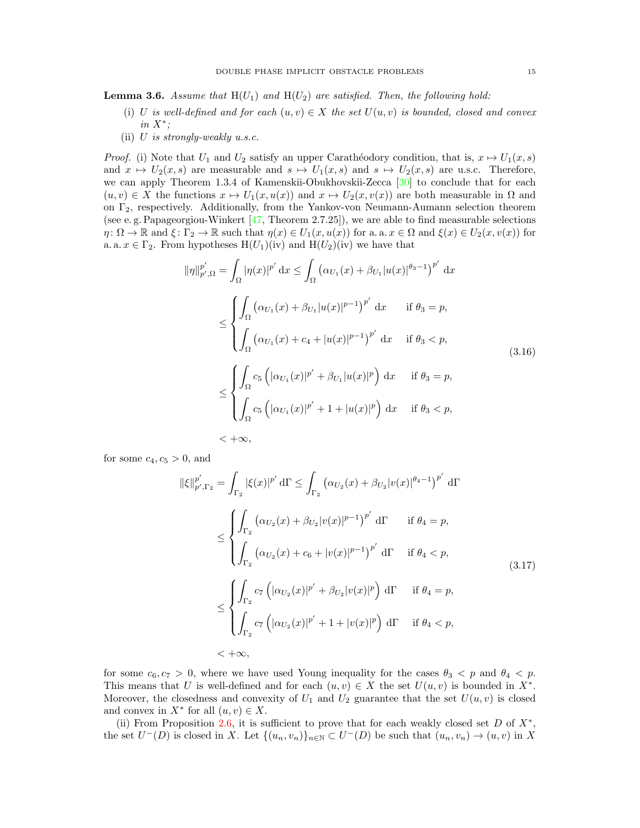<span id="page-14-2"></span>**Lemma 3.6.** Assume that  $H(U_1)$  and  $H(U_2)$  are satisfied. Then, the following hold:

- (i) U is well-defined and for each  $(u, v) \in X$  the set  $U(u, v)$  is bounded, closed and convex in  $X^*$ ;
- (ii)  $U$  is strongly-weakly u.s.c.

*Proof.* (i) Note that  $U_1$  and  $U_2$  satisfy an upper Carathéodory condition, that is,  $x \mapsto U_1(x, s)$ and  $x \mapsto U_2(x, s)$  are measurable and  $s \mapsto U_1(x, s)$  and  $s \mapsto U_2(x, s)$  are u.s.c. Therefore, we can apply Theorem 1.3.4 of Kamenskii-Obukhovskii-Zecca [\[30\]](#page-23-30) to conclude that for each  $(u, v) \in X$  the functions  $x \mapsto U_1(x, u(x))$  and  $x \mapsto U_2(x, v(x))$  are both measurable in  $\Omega$  and on Γ2, respectively. Additionally, from the Yankov-von Neumann-Aumann selection theorem (see e.g. Papageorgiou-Winkert  $[47,$  Theorem 2.7.25]), we are able to find measurable selections  $\eta: \Omega \to \mathbb{R}$  and  $\xi: \Gamma_2 \to \mathbb{R}$  such that  $\eta(x) \in U_1(x, u(x))$  for a. a.  $x \in \Omega$  and  $\xi(x) \in U_2(x, v(x))$  for a. a.  $x \in \Gamma_2$ . From hypotheses  $H(U_1)(iv)$  and  $H(U_2)(iv)$  we have that

<span id="page-14-0"></span>
$$
\|\eta\|_{p',\Omega}^{p'} = \int_{\Omega} |\eta(x)|^{p'} dx \le \int_{\Omega} (\alpha_{U_1}(x) + \beta_{U_1}|u(x)|^{\theta_3 - 1})^{p'} dx
$$
  
\n
$$
\le \begin{cases} \int_{\Omega} (\alpha_{U_1}(x) + \beta_{U_1}|u(x)|^{p-1})^{p'} dx & \text{if } \theta_3 = p, \\ \int_{\Omega} (\alpha_{U_1}(x) + c_4 + |u(x)|^{p-1})^{p'} dx & \text{if } \theta_3 < p, \end{cases}
$$
  
\n
$$
\le \begin{cases} \int_{\Omega} c_5 \left( |\alpha_{U_1}(x)|^{p'} + \beta_{U_1}|u(x)|^p \right) dx & \text{if } \theta_3 = p, \\ \int_{\Omega} c_5 \left( |\alpha_{U_1}(x)|^{p'} + 1 + |u(x)|^p \right) dx & \text{if } \theta_3 < p, \\ \infty, & < +\infty, \end{cases}
$$
  
\n(3.16)

for some  $c_4$ ,  $c_5 > 0$ , and

<span id="page-14-1"></span>
$$
\|\xi\|_{p',\Gamma_2}^{p'} = \int_{\Gamma_2} |\xi(x)|^{p'} d\Gamma \le \int_{\Gamma_2} (\alpha_{U_2}(x) + \beta_{U_2}|v(x)|^{\theta_4 - 1})^{p'} d\Gamma
$$
  
\n
$$
\le \begin{cases} \int_{\Gamma_2} (\alpha_{U_2}(x) + \beta_{U_2}|v(x)|^{p-1})^{p'} d\Gamma & \text{if } \theta_4 = p, \\ \int_{\Gamma_2} (\alpha_{U_2}(x) + c_6 + |v(x)|^{p-1})^{p'} d\Gamma & \text{if } \theta_4 < p, \\ \int_{\Gamma_2} c_7 (|\alpha_{U_2}(x)|^{p'} + \beta_{U_2}|v(x)|^p) d\Gamma & \text{if } \theta_4 = p, \\ \int_{\Gamma_2} c_7 (|\alpha_{U_2}(x)|^{p'} + 1 + |v(x)|^p) d\Gamma & \text{if } \theta_4 < p, \\ \int_{\Gamma_2} c_7 (|\alpha_{U_2}(x)|^{p'} + 1 + |v(x)|^p) d\Gamma & \text{if } \theta_4 < p, \\ \end{cases}
$$
(3.17)

for some  $c_6, c_7 > 0$ , where we have used Young inequality for the cases  $\theta_3 < p$  and  $\theta_4 < p$ . This means that U is well-defined and for each  $(u, v) \in X$  the set  $U(u, v)$  is bounded in  $X^*$ . Moreover, the closedness and convexity of  $U_1$  and  $U_2$  guarantee that the set  $U(u, v)$  is closed and convex in  $X^*$  for all  $(u, v) \in X$ .

(ii) From Proposition [2.6,](#page-6-1) it is sufficient to prove that for each weakly closed set  $D$  of  $X^*$ , the set  $U^{-}(D)$  is closed in X. Let  $\{(u_n,v_n)\}_{n\in\mathbb{N}}\subset U^{-}(D)$  be such that  $(u_n,v_n)\to (u,v)$  in X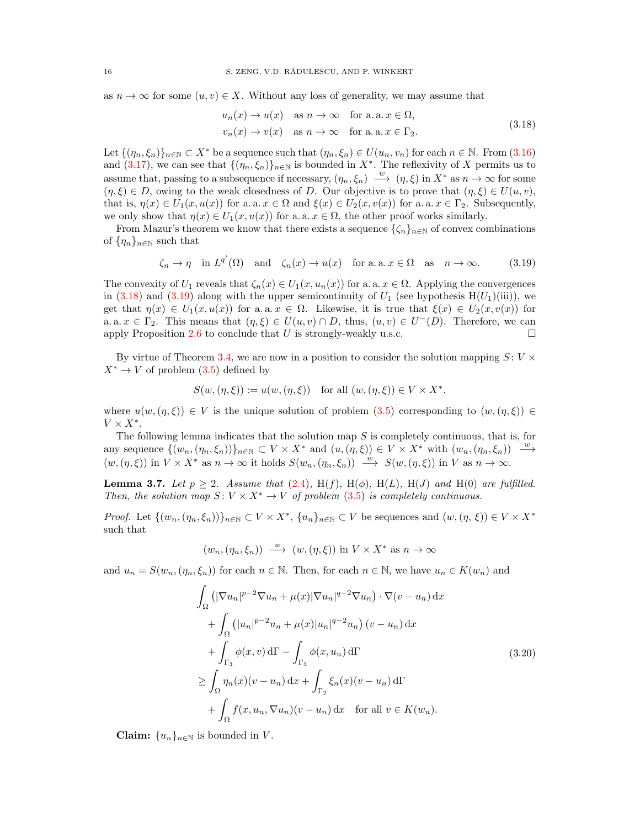as  $n \to \infty$  for some  $(u, v) \in X$ . Without any loss of generality, we may assume that

<span id="page-15-1"></span><span id="page-15-0"></span>
$$
u_n(x) \to u(x) \quad \text{as } n \to \infty \quad \text{for a.a. } x \in \Omega,
$$
  

$$
v_n(x) \to v(x) \quad \text{as } n \to \infty \quad \text{for a.a. } x \in \Gamma_2.
$$
 (3.18)

Let  $\{(n_n,\xi_n)\}_{n\in\mathbb{N}}\subset X^*$  be a sequence such that  $(n_n,\xi_n)\in U(u_n,v_n)$  for each  $n\in\mathbb{N}$ . From [\(3.16\)](#page-14-0) and [\(3.17\)](#page-14-1), we can see that  $\{(\eta_n, \xi_n)\}_{n\in\mathbb{N}}$  is bounded in  $X^*$ . The reflexivity of X permits us to assume that, passing to a subsequence if necessary,  $(\eta_n, \xi_n) \stackrel{w}{\longrightarrow} (\eta, \xi)$  in  $X^*$  as  $n \to \infty$  for some  $(\eta, \xi) \in D$ , owing to the weak closedness of D. Our objective is to prove that  $(\eta, \xi) \in U(u, v)$ , that is,  $\eta(x) \in U_1(x, u(x))$  for a. a.  $x \in \Omega$  and  $\xi(x) \in U_2(x, v(x))$  for a. a.  $x \in \Gamma_2$ . Subsequently, we only show that  $\eta(x) \in U_1(x, u(x))$  for a. a.  $x \in \Omega$ , the other proof works similarly.

From Mazur's theorem we know that there exists a sequence  $\{\zeta_n\}_{n\in\mathbb{N}}$  of convex combinations of  $\{\eta_n\}_{n\in\mathbb{N}}$  such that

$$
\zeta_n \to \eta \quad \text{in } L^{q'}(\Omega) \quad \text{and} \quad \zeta_n(x) \to u(x) \quad \text{for a. a. } x \in \Omega \quad \text{as} \quad n \to \infty. \tag{3.19}
$$

The convexity of  $U_1$  reveals that  $\zeta_n(x) \in U_1(x, u_n(x))$  for a. a.  $x \in \Omega$ . Applying the convergences in [\(3.18\)](#page-15-0) and [\(3.19\)](#page-15-1) along with the upper semicontinuity of  $U_1$  (see hypothesis  $H(U_1)(iii)$ ), we get that  $\eta(x) \in U_1(x, u(x))$  for a. a.  $x \in \Omega$ . Likewise, it is true that  $\xi(x) \in U_2(x, v(x))$  for a. a.  $x \in \Gamma_2$ . This means that  $(\eta, \xi) \in U(u, v) \cap D$ , thus,  $(u, v) \in U^{-}(D)$ . Therefore, we can apply Proposition [2.6](#page-6-1) to conclude that U is strongly-weakly u.s.c.  $\square$ 

By virtue of Theorem [3.4,](#page-10-1) we are now in a position to consider the solution mapping  $S: V \times$  $X^* \to V$  of problem [\(3.5\)](#page-10-0) defined by

$$
S(w, (\eta, \xi)) := u(w, (\eta, \xi)) \quad \text{for all } (w, (\eta, \xi)) \in V \times X^*,
$$

where  $u(w, (\eta, \xi)) \in V$  is the unique solution of problem  $(3.5)$  corresponding to  $(w, (\eta, \xi)) \in V$  $V \times X^*$ .

The following lemma indicates that the solution map  $S$  is completely continuous, that is, for any sequence  $\{(w_n,(\eta_n,\xi_n))\}_{n\in\mathbb{N}}\subset V\times X^*$  and  $(u,(\eta,\xi))\in V\times X^*$  with  $(w_n,(\eta_n,\xi_n))\stackrel{w}{\longrightarrow}$  $(w,(\eta,\xi))$  in  $V \times X^*$  as  $n \to \infty$  it holds  $S(w_n,(\eta_n,\xi_n)) \stackrel{w}{\longrightarrow} S(w,(\eta,\xi))$  in V as  $n \to \infty$ .

<span id="page-15-3"></span>**Lemma 3.7.** Let  $p \geq 2$ . Assume that [\(2.4\)](#page-4-1), H(f), H( $\phi$ ), H( $L$ ), H( $J$ ) and H(0) are fulfilled. Then, the solution map  $S: V \times X^* \to V$  of problem [\(3.5\)](#page-10-0) is completely continuous.

*Proof.* Let  $\{(w_n, (\eta_n, \xi_n))\}_{n\in \mathbb{N}} \subset V \times X^*$ ,  $\{u_n\}_{n\in \mathbb{N}} \subset V$  be sequences and  $(w, (\eta, \xi)) \in V \times X^*$ such that

 $(w_n, (\eta_n, \xi_n)) \stackrel{w}{\longrightarrow} (w, (\eta, \xi))$  in  $V \times X^*$  as  $n \to \infty$ 

<span id="page-15-2"></span>and  $u_n = S(w_n, (\eta_n, \xi_n))$  for each  $n \in \mathbb{N}$ . Then, for each  $n \in \mathbb{N}$ , we have  $u_n \in K(w_n)$  and

$$
\int_{\Omega} \left( |\nabla u_n|^{p-2} \nabla u_n + \mu(x) |\nabla u_n|^{q-2} \nabla u_n \right) \cdot \nabla (v - u_n) \, dx
$$
\n
$$
+ \int_{\Omega} \left( |u_n|^{p-2} u_n + \mu(x) |u_n|^{q-2} u_n \right) (v - u_n) \, dx
$$
\n
$$
+ \int_{\Gamma_3} \phi(x, v) \, d\Gamma - \int_{\Gamma_3} \phi(x, u_n) \, d\Gamma
$$
\n
$$
\geq \int_{\Omega} \eta_n(x) (v - u_n) \, dx + \int_{\Gamma_2} \xi_n(x) (v - u_n) \, d\Gamma
$$
\n
$$
+ \int_{\Omega} f(x, u_n, \nabla u_n) (v - u_n) \, dx \quad \text{for all } v \in K(w_n).
$$
\n(3.20)

**Claim:**  $\{u_n\}_{n\in\mathbb{N}}$  is bounded in V.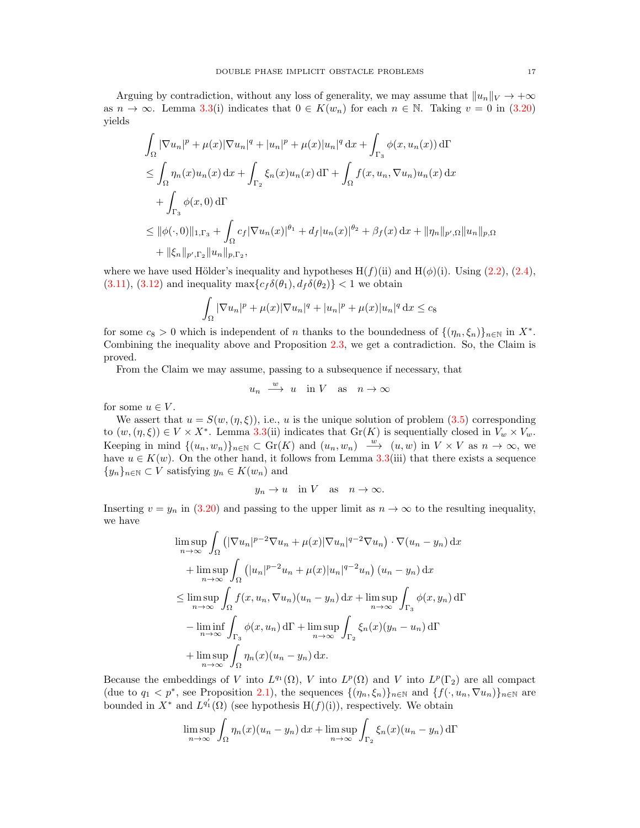Arguing by contradiction, without any loss of generality, we may assume that  $||u_n||_V \to +\infty$ as  $n \to \infty$ . Lemma [3.3\(](#page-9-4)i) indicates that  $0 \in K(w_n)$  for each  $n \in \mathbb{N}$ . Taking  $v = 0$  in [\(3.20\)](#page-15-2) yields

$$
\int_{\Omega} |\nabla u_n|^p + \mu(x) |\nabla u_n|^q + |u_n|^p + \mu(x) |u_n|^q \, dx + \int_{\Gamma_3} \phi(x, u_n(x)) \, d\Gamma
$$
\n
$$
\leq \int_{\Omega} \eta_n(x) u_n(x) \, dx + \int_{\Gamma_2} \xi_n(x) u_n(x) \, d\Gamma + \int_{\Omega} f(x, u_n, \nabla u_n) u_n(x) \, dx
$$
\n
$$
+ \int_{\Gamma_3} \phi(x, 0) \, d\Gamma
$$
\n
$$
\leq ||\phi(\cdot, 0)||_{1, \Gamma_3} + \int_{\Omega} c_f |\nabla u_n(x)|^{\theta_1} + d_f |u_n(x)|^{\theta_2} + \beta_f(x) \, dx + ||\eta_n||_{p', \Omega} ||u_n||_{p, \Omega}
$$
\n
$$
+ ||\xi_n||_{p', \Gamma_2} ||u_n||_{p, \Gamma_2},
$$

where we have used Hölder's inequality and hypotheses  $H(f)(ii)$  and  $H(\phi)(i)$ . Using [\(2.2\)](#page-4-4), [\(2.4\)](#page-4-1),  $(3.11), (3.12)$  $(3.11), (3.12)$  $(3.11), (3.12)$  and inequality  $\max\{c_f \delta(\theta_1), d_f \delta(\theta_2)\} < 1$  we obtain

$$
\int_{\Omega} |\nabla u_n|^p + \mu(x)|\nabla u_n|^q + |u_n|^p + \mu(x)|u_n|^q dx \leq c_8
$$

for some  $c_8 > 0$  which is independent of n thanks to the boundedness of  $\{(\eta_n, \xi_n)\}_{n\in\mathbb{N}}$  in  $X^*$ . Combining the inequality above and Proposition [2.3,](#page-5-1) we get a contradiction. So, the Claim is proved.

From the Claim we may assume, passing to a subsequence if necessary, that

$$
u_n \xrightarrow{w} u
$$
 in V as  $n \to \infty$ 

for some  $u \in V$ .

We assert that  $u = S(w, (\eta, \xi))$ , i.e., u is the unique solution of problem [\(3.5\)](#page-10-0) corresponding to  $(w, (\eta, \xi)) \in V \times X^*$ . Lemma [3.3\(](#page-9-4)ii) indicates that  $Gr(K)$  is sequentially closed in  $V_w \times V_w$ . Keeping in mind  $\{(u_n, w_n)\}_{n\in\mathbb{N}} \subset \text{Gr}(K)$  and  $(u_n, w_n) \stackrel{w}{\longrightarrow} (u, w)$  in  $V \times V$  as  $n \to \infty$ , we have  $u \in K(w)$ . On the other hand, it follows from Lemma [3.3\(](#page-9-4)iii) that there exists a sequence  ${y_n}_{n\in\mathbb{N}}\subset V$  satisfying  $y_n\in K(w_n)$  and

$$
y_n \to u
$$
 in V as  $n \to \infty$ .

Inserting  $v = y_n$  in [\(3.20\)](#page-15-2) and passing to the upper limit as  $n \to \infty$  to the resulting inequality, we have

$$
\limsup_{n \to \infty} \int_{\Omega} \left( |\nabla u_n|^{p-2} \nabla u_n + \mu(x) |\nabla u_n|^{q-2} \nabla u_n \right) \cdot \nabla (u_n - y_n) \, dx
$$
  
+ 
$$
\limsup_{n \to \infty} \int_{\Omega} \left( |u_n|^{p-2} u_n + \mu(x) |u_n|^{q-2} u_n \right) (u_n - y_n) \, dx
$$
  

$$
\leq \limsup_{n \to \infty} \int_{\Omega} f(x, u_n, \nabla u_n) (u_n - y_n) \, dx + \limsup_{n \to \infty} \int_{\Gamma_3} \phi(x, y_n) \, d\Gamma
$$
  
- 
$$
\liminf_{n \to \infty} \int_{\Gamma_3} \phi(x, u_n) \, d\Gamma + \limsup_{n \to \infty} \int_{\Gamma_2} \xi_n(x) (y_n - u_n) \, d\Gamma
$$
  
+ 
$$
\limsup_{n \to \infty} \int_{\Omega} \eta_n(x) (u_n - y_n) \, dx.
$$

Because the embeddings of V into  $L^{q_1}(\Omega)$ , V into  $L^p(\Omega)$  and V into  $L^p(\Gamma_2)$  are all compact (due to  $q_1 < p^*$ , see Proposition [2.1\)](#page-5-0), the sequences  $\{(\eta_n, \xi_n)\}_{n \in \mathbb{N}}$  and  $\{f(\cdot, u_n, \nabla u_n)\}_{n \in \mathbb{N}}$  are bounded in  $X^*$  and  $L^{q'_1}(\Omega)$  (see hypothesis  $H(f)(i)$ ), respectively. We obtain

$$
\limsup_{n \to \infty} \int_{\Omega} \eta_n(x) (u_n - y_n) \, dx + \limsup_{n \to \infty} \int_{\Gamma_2} \xi_n(x) (u_n - y_n) \, d\Gamma
$$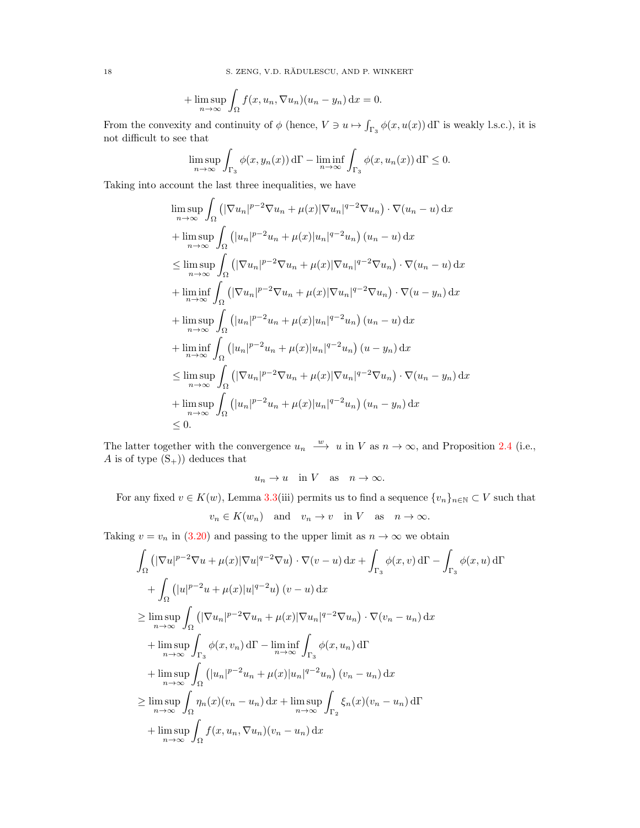18 S. ZENG, V.D. RĂDULESCU, AND P. WINKERT

$$
+\limsup_{n\to\infty}\int_{\Omega}f(x,u_n,\nabla u_n)(u_n-y_n)\,\mathrm{d}x=0.
$$

From the convexity and continuity of  $\phi$  (hence,  $V \ni u \mapsto \int_{\Gamma_3} \phi(x, u(x)) d\Gamma$  is weakly l.s.c.), it is not difficult to see that

$$
\limsup_{n \to \infty} \int_{\Gamma_3} \phi(x, y_n(x)) d\Gamma - \liminf_{n \to \infty} \int_{\Gamma_3} \phi(x, u_n(x)) d\Gamma \le 0.
$$

Taking into account the last three inequalities, we have

$$
\limsup_{n \to \infty} \int_{\Omega} \left( |\nabla u_n|^{p-2} \nabla u_n + \mu(x) |\nabla u_n|^{q-2} \nabla u_n \right) \cdot \nabla (u_n - u) \, dx
$$
\n
$$
+ \limsup_{n \to \infty} \int_{\Omega} \left( |u_n|^{p-2} u_n + \mu(x) |u_n|^{q-2} u_n \right) (u_n - u) \, dx
$$
\n
$$
\leq \limsup_{n \to \infty} \int_{\Omega} \left( |\nabla u_n|^{p-2} \nabla u_n + \mu(x) |\nabla u_n|^{q-2} \nabla u_n \right) \cdot \nabla (u_n - u) \, dx
$$
\n
$$
+ \liminf_{n \to \infty} \int_{\Omega} \left( |\nabla u_n|^{p-2} \nabla u_n + \mu(x) |\nabla u_n|^{q-2} \nabla u_n \right) \cdot \nabla (u - y_n) \, dx
$$
\n
$$
+ \limsup_{n \to \infty} \int_{\Omega} \left( |u_n|^{p-2} u_n + \mu(x) |u_n|^{q-2} u_n \right) (u_n - u) \, dx
$$
\n
$$
+ \liminf_{n \to \infty} \int_{\Omega} \left( |u_n|^{p-2} u_n + \mu(x) |u_n|^{q-2} u_n \right) (u - y_n) \, dx
$$
\n
$$
\leq \limsup_{n \to \infty} \int_{\Omega} \left( |\nabla u_n|^{p-2} \nabla u_n + \mu(x) |\nabla u_n|^{q-2} \nabla u_n \right) \cdot \nabla (u_n - y_n) \, dx
$$
\n
$$
+ \limsup_{n \to \infty} \int_{\Omega} \left( |u_n|^{p-2} u_n + \mu(x) |u_n|^{q-2} u_n \right) (u_n - y_n) \, dx
$$
\n
$$
\leq 0.
$$

The latter together with the convergence  $u_n \stackrel{w}{\longrightarrow} u$  in V as  $n \to \infty$ , and Proposition [2.4](#page-6-2) (i.e., A is of type  $(S_+)$  deduces that

$$
u_n \to u \quad \text{in } V \quad \text{as} \quad n \to \infty.
$$

For any fixed  $v \in K(w)$ , Lemma [3.3\(](#page-9-4)iii) permits us to find a sequence  $\{v_n\}_{n\in\mathbb{N}} \subset V$  such that

$$
v_n \in K(w_n)
$$
 and  $v_n \to v$  in V as  $n \to \infty$ .

Taking  $v = v_n$  in [\(3.20\)](#page-15-2) and passing to the upper limit as  $n \to \infty$  we obtain

$$
\int_{\Omega} \left( |\nabla u|^{p-2} \nabla u + \mu(x) |\nabla u|^{q-2} \nabla u \right) \cdot \nabla (v - u) \, dx + \int_{\Gamma_3} \phi(x, v) \, d\Gamma - \int_{\Gamma_3} \phi(x, u) \, d\Gamma
$$
\n
$$
+ \int_{\Omega} \left( |u|^{p-2} u + \mu(x) |u|^{q-2} u \right) (v - u) \, dx
$$
\n
$$
\geq \limsup_{n \to \infty} \int_{\Omega} \left( |\nabla u_n|^{p-2} \nabla u_n + \mu(x) |\nabla u_n|^{q-2} \nabla u_n \right) \cdot \nabla (v_n - u_n) \, dx
$$
\n
$$
+ \limsup_{n \to \infty} \int_{\Gamma_3} \phi(x, v_n) \, d\Gamma - \liminf_{n \to \infty} \int_{\Gamma_3} \phi(x, u_n) \, d\Gamma
$$
\n
$$
+ \limsup_{n \to \infty} \int_{\Omega} \left( |u_n|^{p-2} u_n + \mu(x) |u_n|^{q-2} u_n \right) (v_n - u_n) \, dx
$$
\n
$$
\geq \limsup_{n \to \infty} \int_{\Omega} \eta_n(x) (v_n - u_n) \, dx + \limsup_{n \to \infty} \int_{\Gamma_2} \xi_n(x) (v_n - u_n) \, d\Gamma
$$
\n
$$
+ \limsup_{n \to \infty} \int_{\Omega} f(x, u_n, \nabla u_n) (v_n - u_n) \, dx
$$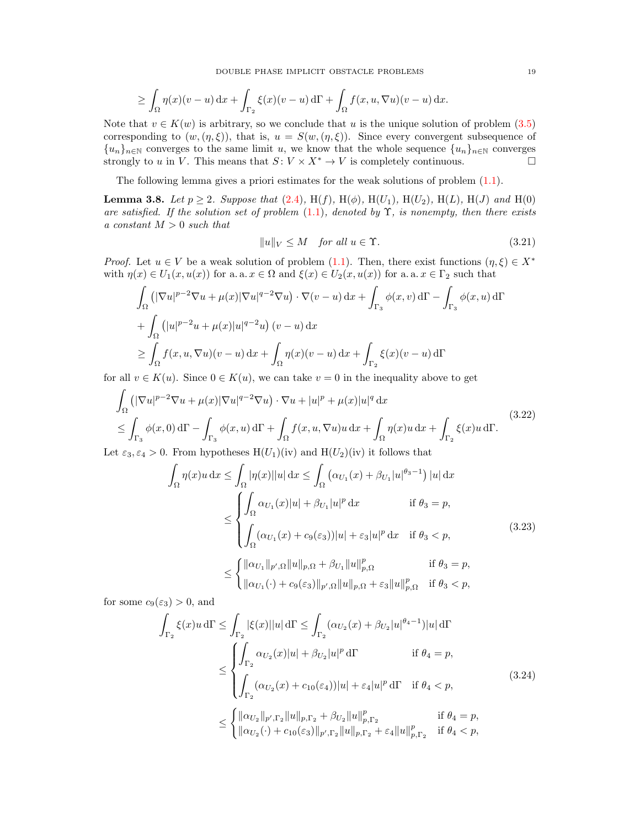DOUBLE PHASE IMPLICIT OBSTACLE PROBLEMS 19

$$
\geq \int_{\Omega} \eta(x)(v-u) dx + \int_{\Gamma_2} \xi(x)(v-u) d\Gamma + \int_{\Omega} f(x, u, \nabla u)(v-u) dx.
$$

Note that  $v \in K(w)$  is arbitrary, so we conclude that u is the unique solution of problem  $(3.5)$ corresponding to  $(w, (\eta, \xi))$ , that is,  $u = S(w, (\eta, \xi))$ . Since every convergent subsequence of  ${u_n}_{n\in\mathbb{N}}$  converges to the same limit u, we know that the whole sequence  ${u_n}_{n\in\mathbb{N}}$  converges strongly to u in V. This means that  $S: V \times X^* \to V$  is completely continuous.

The following lemma gives a priori estimates for the weak solutions of problem [\(1.1\)](#page-0-0).

<span id="page-18-4"></span>**Lemma 3.8.** Let  $p \ge 2$ . Suppose that [\(2.4\)](#page-4-1), H(f), H( $\phi$ ), H( $U_1$ ), H( $U_2$ ), H( $L$ ), H( $J$ ) and H(0) are satisfied. If the solution set of problem  $(1.1)$ , denoted by  $\Upsilon$ , is nonempty, then there exists a constant  $M > 0$  such that

<span id="page-18-3"></span>
$$
||u||_V \le M \quad \text{for all } u \in \Upsilon. \tag{3.21}
$$

*Proof.* Let  $u \in V$  be a weak solution of problem [\(1.1\)](#page-0-0). Then, there exist functions  $(\eta, \xi) \in X^*$ with  $\eta(x) \in U_1(x, u(x))$  for a. a.  $x \in \Omega$  and  $\xi(x) \in U_2(x, u(x))$  for a. a.  $x \in \Gamma_2$  such that

$$
\int_{\Omega} \left( |\nabla u|^{p-2} \nabla u + \mu(x) |\nabla u|^{q-2} \nabla u \right) \cdot \nabla (v - u) \, dx + \int_{\Gamma_3} \phi(x, v) \, d\Gamma - \int_{\Gamma_3} \phi(x, u) \, d\Gamma
$$
\n
$$
+ \int_{\Omega} \left( |u|^{p-2} u + \mu(x) |u|^{q-2} u \right) (v - u) \, dx
$$
\n
$$
\geq \int_{\Omega} f(x, u, \nabla u) (v - u) \, dx + \int_{\Omega} \eta(x) (v - u) \, dx + \int_{\Gamma_2} \xi(x) (v - u) \, d\Gamma
$$

for all  $v \in K(u)$ . Since  $0 \in K(u)$ , we can take  $v = 0$  in the inequality above to get

<span id="page-18-0"></span>
$$
\int_{\Omega} \left( |\nabla u|^{p-2} \nabla u + \mu(x) |\nabla u|^{q-2} \nabla u \right) \cdot \nabla u + |u|^p + \mu(x) |u|^q \, dx
$$
\n
$$
\leq \int_{\Gamma_3} \phi(x,0) \, d\Gamma - \int_{\Gamma_3} \phi(x,u) \, d\Gamma + \int_{\Omega} f(x,u, \nabla u) u \, dx + \int_{\Omega} \eta(x) u \, dx + \int_{\Gamma_2} \xi(x) u \, d\Gamma.
$$
\n(3.22)\n\n
$$
\text{At } \varepsilon_2, \varepsilon_4 > 0 \text{ From hypotheses } H(U_1)(iv) \text{ and } H(U_2)(iv) \text{ it follows that}
$$

Let  $\varepsilon_3, \varepsilon_4 > 0$ . From hypotheses  $H(U_1)(iv)$  and  $H(U_2)(iv)$  it follows that

<span id="page-18-1"></span>
$$
\int_{\Omega} \eta(x)u \, dx \leq \int_{\Omega} |\eta(x)||u| \, dx \leq \int_{\Omega} \left( \alpha_{U_1}(x) + \beta_{U_1}|u|^{\theta_3 - 1} \right) |u| \, dx
$$
\n
$$
\leq \begin{cases}\n\int_{\Omega} \alpha_{U_1}(x)|u| + \beta_{U_1}|u|^p \, dx & \text{if } \theta_3 = p, \\
\int_{\Omega} (\alpha_{U_1}(x) + c_9(\varepsilon_3))|u| + \varepsilon_3|u|^p \, dx & \text{if } \theta_3 < p,\n\end{cases} \tag{3.23}
$$
\n
$$
\leq \begin{cases}\n\|\alpha_{U_1}\|_{p',\Omega} \|u\|_{p,\Omega} + \beta_{U_1} \|u\|_{p,\Omega}^p & \text{if } \theta_3 = p, \\
\|\alpha_{U_1}(\cdot) + c_9(\varepsilon_3) \|_{p',\Omega} \|u\|_{p,\Omega} + \varepsilon_3 \|u\|_{p,\Omega}^p & \text{if } \theta_3 < p,\n\end{cases} \tag{3.25}
$$

for some  $c_9(\varepsilon_3) > 0$ , and

<span id="page-18-2"></span>
$$
\int_{\Gamma_2} \xi(x)u \,d\Gamma \le \int_{\Gamma_2} |\xi(x)||u| \,d\Gamma \le \int_{\Gamma_2} (\alpha_{U_2}(x) + \beta_{U_2}|u|^{\theta_4 - 1})|u| \,d\Gamma
$$
\n
$$
\le \begin{cases}\n\int_{\Gamma_2} \alpha_{U_2}(x)|u| + \beta_{U_2}|u|^p \,d\Gamma & \text{if } \theta_4 = p, \\
\int_{\Gamma_2} (\alpha_{U_2}(x) + c_{10}(\varepsilon_4))|u| + \varepsilon_4|u|^p \,d\Gamma & \text{if } \theta_4 < p,\n\end{cases} \tag{3.24}
$$
\n
$$
\le \begin{cases}\n||\alpha_{U_2}||_{p',\Gamma_2} ||u||_{p,\Gamma_2} + \beta_{U_2} ||u||_{p,\Gamma_2}^p & \text{if } \theta_4 = p, \\
||\alpha_{U_2}(\cdot) + c_{10}(\varepsilon_3)||_{p',\Gamma_2} ||u||_{p,\Gamma_2} + \varepsilon_4 ||u||_{p,\Gamma_2}^p & \text{if } \theta_4 < p,\n\end{cases}
$$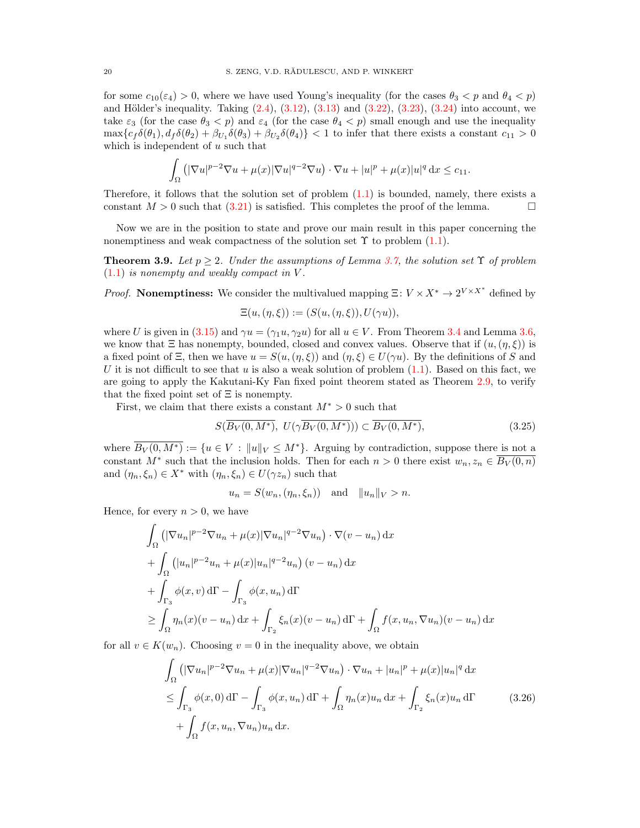for some  $c_{10}(\varepsilon_4) > 0$ , where we have used Young's inequality (for the cases  $\theta_3 < p$  and  $\theta_4 < p$ ) and Hölder's inequality. Taking  $(2.4)$ ,  $(3.12)$ ,  $(3.13)$  and  $(3.22)$ ,  $(3.23)$ ,  $(3.24)$  into account, we take  $\varepsilon_3$  (for the case  $\theta_3 < p$ ) and  $\varepsilon_4$  (for the case  $\theta_4 < p$ ) small enough and use the inequality  $\max\{c_f\delta(\theta_1), d_f\delta(\theta_2)+\beta_{U_1}\delta(\theta_3)+\beta_{U_2}\delta(\theta_4)\}$  < 1 to infer that there exists a constant  $c_{11} > 0$ which is independent of  $u$  such that

$$
\int_{\Omega} \left( |\nabla u|^{p-2} \nabla u + \mu(x) |\nabla u|^{q-2} \nabla u \right) \cdot \nabla u + |u|^p + \mu(x) |u|^q dx \leq c_{11}.
$$

Therefore, it follows that the solution set of problem  $(1.1)$  is bounded, namely, there exists a constant  $M > 0$  such that [\(3.21\)](#page-18-3) is satisfied. This completes the proof of the lemma.

Now we are in the position to state and prove our main result in this paper concerning the nonemptiness and weak compactness of the solution set  $\Upsilon$  to problem [\(1.1\)](#page-0-0).

<span id="page-19-2"></span>**Theorem 3.9.** Let  $p \geq 2$ . Under the assumptions of Lemma [3.7,](#page-15-3) the solution set  $\Upsilon$  of problem  $(1.1)$  is nonempty and weakly compact in V.

*Proof.* Nonemptiness: We consider the multivalued mapping  $\Xi: V \times X^* \to 2^{V \times X^*}$  defined by  $\Xi(u, (\eta, \xi)) := (S(u, (\eta, \xi)), U(\gamma u)),$ 

where U is given in [\(3.15\)](#page-13-3) and  $\gamma u = (\gamma_1 u, \gamma_2 u)$  for all  $u \in V$ . From Theorem [3.4](#page-10-1) and Lemma [3.6,](#page-14-2) we know that  $\Xi$  has nonempty, bounded, closed and convex values. Observe that if  $(u,(\eta,\xi))$  is a fixed point of  $\Xi$ , then we have  $u = S(u, (\eta, \xi))$  and  $(\eta, \xi) \in U(\gamma u)$ . By the definitions of S and U it is not difficult to see that u is also a weak solution of problem  $(1.1)$ . Based on this fact, we are going to apply the Kakutani-Ky Fan fixed point theorem stated as Theorem [2.9,](#page-7-2) to verify that the fixed point set of  $\Xi$  is nonempty.

First, we claim that there exists a constant  $M^* > 0$  such that

$$
S(\overline{B_V(0,M^*)},\ U(\gamma\overline{B_V(0,M^*)}))\subset\overline{B_V(0,M^*)},\tag{3.25}
$$

where  $\overline{B_V(0,M^*)} := \{u \in V : ||u||_V \leq M^*\}$ . Arguing by contradiction, suppose there is not a constant  $M^*$  such that the inclusion holds. Then for each  $n > 0$  there exist  $w_n, z_n \in \overline{B_V(0,n)}$ and  $(\eta_n, \xi_n) \in X^*$  with  $(\eta_n, \xi_n) \in U(\gamma z_n)$  such that

<span id="page-19-1"></span><span id="page-19-0"></span>
$$
u_n = S(w_n, (\eta_n, \xi_n)) \quad \text{and} \quad ||u_n||_V > n.
$$

Hence, for every  $n > 0$ , we have

$$
\int_{\Omega} \left( |\nabla u_n|^{p-2} \nabla u_n + \mu(x) |\nabla u_n|^{q-2} \nabla u_n \right) \cdot \nabla (v - u_n) \, dx
$$
\n
$$
+ \int_{\Omega} \left( |u_n|^{p-2} u_n + \mu(x) |u_n|^{q-2} u_n \right) (v - u_n) \, dx
$$
\n
$$
+ \int_{\Gamma_3} \phi(x, v) \, d\Gamma - \int_{\Gamma_3} \phi(x, u_n) \, d\Gamma
$$
\n
$$
\geq \int_{\Omega} \eta_n(x) (v - u_n) \, dx + \int_{\Gamma_2} \xi_n(x) (v - u_n) \, d\Gamma + \int_{\Omega} f(x, u_n, \nabla u_n) (v - u_n) \, dx
$$

for all  $v \in K(w_n)$ . Choosing  $v = 0$  in the inequality above, we obtain

$$
\int_{\Omega} \left( |\nabla u_n|^{p-2} \nabla u_n + \mu(x) |\nabla u_n|^{q-2} \nabla u_n \right) \cdot \nabla u_n + |u_n|^p + \mu(x) |u_n|^q \, dx
$$
\n
$$
\leq \int_{\Gamma_3} \phi(x,0) \, d\Gamma - \int_{\Gamma_3} \phi(x, u_n) \, d\Gamma + \int_{\Omega} \eta_n(x) u_n \, dx + \int_{\Gamma_2} \xi_n(x) u_n \, d\Gamma \tag{3.26}
$$
\n
$$
+ \int_{\Omega} f(x, u_n, \nabla u_n) u_n \, dx.
$$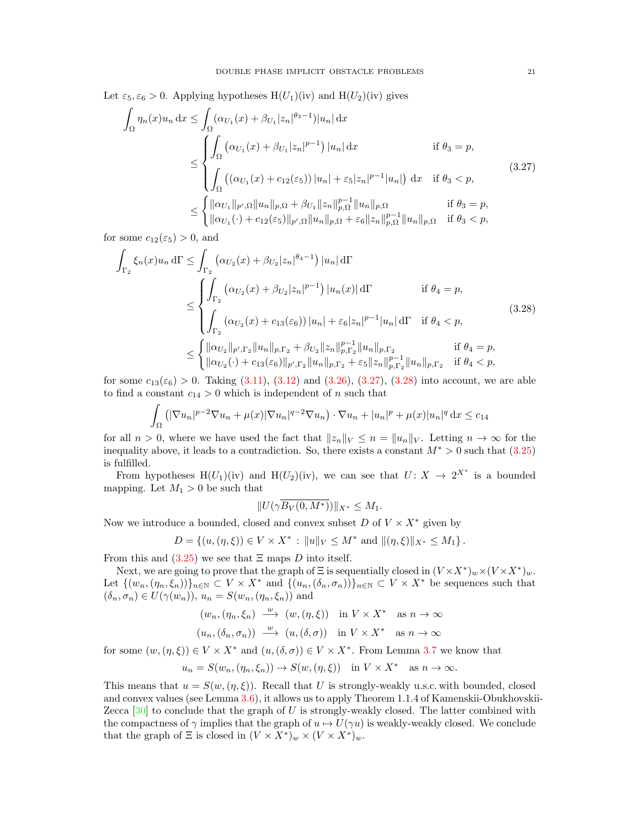Let  $\varepsilon_5$ ,  $\varepsilon_6 > 0$ . Applying hypotheses H(U<sub>1</sub>)(iv) and H(U<sub>2</sub>)(iv) gives

<span id="page-20-0"></span>
$$
\int_{\Omega} \eta_n(x) u_n \, dx \le \int_{\Omega} (\alpha_{U_1}(x) + \beta_{U_1}|z_n|^{\theta_3 - 1}) |u_n| \, dx
$$
\n
$$
\le \begin{cases}\n\int_{\Omega} (\alpha_{U_1}(x) + \beta_{U_1}|z_n|^{p-1}) |u_n| \, dx & \text{if } \theta_3 = p, \\
\int_{\Omega} ((\alpha_{U_1}(x) + c_{12}(\varepsilon_5)) |u_n| + \varepsilon_5 |z_n|^{p-1} |u_n|) \, dx & \text{if } \theta_3 < p,\n\end{cases} \tag{3.27}
$$
\n
$$
\le \begin{cases}\n\|\alpha_{U_1}\|_{p',\Omega} \|u_n\|_{p,\Omega} + \beta_{U_1} \|z_n\|_{p,\Omega}^{p-1} \|u_n\|_{p,\Omega} & \text{if } \theta_3 = p, \\
\|\alpha_{U_1}(\cdot) + c_{12}(\varepsilon_5) \|_{p',\Omega} \|u_n\|_{p,\Omega} + \varepsilon_6 \|z_n\|_{p,\Omega}^{p-1} \|u_n\|_{p,\Omega} & \text{if } \theta_3 < p,\n\end{cases} \tag{3.28}
$$

for some  $c_{12}(\varepsilon_5) > 0$ , and

$$
\int_{\Gamma_2} \xi_n(x) u_n d\Gamma \le \int_{\Gamma_2} \left( \alpha_{U_2}(x) + \beta_{U_2} |z_n|^{\theta_4 - 1} \right) |u_n| d\Gamma
$$
\n
$$
\le \left\{ \int_{\Gamma_2} \left( \alpha_{U_2}(x) + \beta_{U_2} |z_n|^{p-1} \right) |u_n(x)| d\Gamma \right. \qquad \text{if } \theta_4 = p,
$$
\n
$$
\le \left\{ \int_{\Gamma_2} \left( \alpha_{U_2}(x) + c_{13}(\varepsilon_6) \right) |u_n| + \varepsilon_6 |z_n|^{p-1} |u_n| d\Gamma \right. \text{if } \theta_4 < p,
$$
\n
$$
\le \left\{ \left\| \alpha_{U_2} \right\|_{p', \Gamma_2} \|u_n\|_{p, \Gamma_2} + \beta_{U_2} \|z_n\|_{p, \Gamma_2}^{p-1} \|u_n\|_{p, \Gamma_2} \right. \qquad \text{if } \theta_4 = p,
$$
\n
$$
\left\| \alpha_{U_2}(\cdot) + c_{13}(\varepsilon_6) \right\|_{p', \Gamma_2} \|u_n\|_{p, \Gamma_2} + \varepsilon_5 \|z_n\|_{p, \Gamma_2}^{p-1} \|u_n\|_{p, \Gamma_2} \quad \text{if } \theta_4 < p,
$$
\n
$$
(3.28)
$$

for some  $c_{13}(\varepsilon_6) > 0$ . Taking  $(3.11)$ ,  $(3.12)$  and  $(3.26)$ ,  $(3.27)$ ,  $(3.28)$  into account, we are able to find a constant  $c_{14} > 0$  which is independent of n such that

$$
\int_{\Omega} \left( |\nabla u_n|^{p-2} \nabla u_n + \mu(x) |\nabla u_n|^{q-2} \nabla u_n \right) \cdot \nabla u_n + |u_n|^p + \mu(x) |u_n|^q \, dx \le c_{14}
$$

for all  $n > 0$ , where we have used the fact that  $||z_n||_V \leq n = ||u_n||_V$ . Letting  $n \to \infty$  for the inequality above, it leads to a contradiction. So, there exists a constant  $M^* > 0$  such that [\(3.25\)](#page-19-1) is fulfilled.

From hypotheses H(U<sub>1</sub>)(iv) and H(U<sub>2</sub>)(iv), we can see that  $U: X \to 2^{X^*}$  is a bounded mapping. Let  $M_1 > 0$  be such that

<span id="page-20-1"></span>
$$
||U(\gamma \overline{B_V(0,M^*)})||_{X^*} \le M_1.
$$

Now we introduce a bounded, closed and convex subset  $D$  of  $V \times X^*$  given by

$$
D = \{(u, (\eta, \xi)) \in V \times X^* : ||u||_V \le M^* \text{ and } ||(\eta, \xi)||_{X^*} \le M_1 \}.
$$

From this and  $(3.25)$  we see that  $\Xi$  maps D into itself.

Next, we are going to prove that the graph of  $\Xi$  is sequentially closed in  $(V \times X^*)_w \times (V \times X^*)_w$ . Let  $\{(w_n,(\eta_n,\xi_n))\}_{n\in\mathbb{N}}\subset V\times X^*$  and  $\{(u_n,(\delta_n,\sigma_n))\}_{n\in\mathbb{N}}\subset V\times X^*$  be sequences such that  $(\delta_n, \sigma_n) \in U(\gamma(w_n)), u_n = S(w_n, (\eta_n, \xi_n))$  and

$$
(w_n, (\eta_n, \xi_n) \xrightarrow{w} (w, (\eta, \xi)) \text{ in } V \times X^* \text{ as } n \to \infty
$$
  

$$
(u_n, (\delta_n, \sigma_n)) \xrightarrow{w} (u, (\delta, \sigma)) \text{ in } V \times X^* \text{ as } n \to \infty
$$

for some  $(w, (\eta, \xi)) \in V \times X^*$  and  $(u, (\delta, \sigma)) \in V \times X^*$ . From Lemma [3.7](#page-15-3) we know that

$$
u_n = S(w_n, (\eta_n, \xi_n)) \to S(w, (\eta, \xi)) \quad \text{in } V \times X^* \quad \text{as } n \to \infty.
$$

This means that  $u = S(w, (\eta, \xi))$ . Recall that U is strongly-weakly u.s.c. with bounded, closed and convex values (see Lemma [3.6\)](#page-14-2), it allows us to apply Theorem 1.1.4 of Kamenskii-Obukhovskii-Zecca  $[30]$  to conclude that the graph of U is strongly-weakly closed. The latter combined with the compactness of  $\gamma$  implies that the graph of  $u \mapsto U(\gamma u)$  is weakly-weakly closed. We conclude that the graph of  $\Xi$  is closed in  $(V \times X^*)_w \times (V \times X^*)_w$ .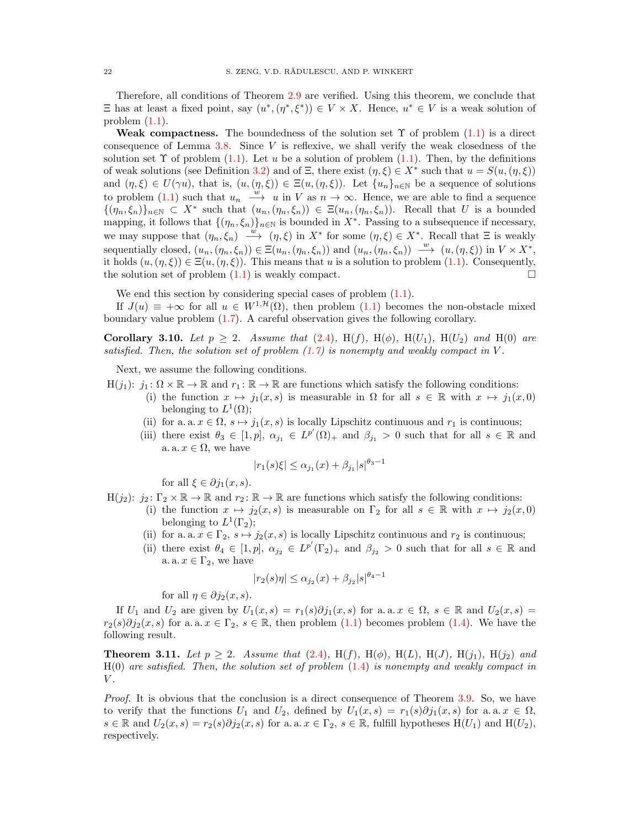Therefore, all conditions of Theorem [2.9](#page-7-2) are verified. Using this theorem, we conclude that  $\Xi$  has at least a fixed point, say  $(u^*,(\eta^*,\xi^*)) \in V \times X$ . Hence,  $u^* \in V$  is a weak solution of problem  $(1.1)$ .

Weak compactness. The boundedness of the solution set  $\Upsilon$  of problem [\(1.1\)](#page-0-0) is a direct consequence of Lemma  $3.8$ . Since V is reflexive, we shall verify the weak closedness of the solution set  $\Upsilon$  of problem [\(1.1\)](#page-0-0). Let u be a solution of problem (1.1). Then, by the definitions of weak solutions (see Definition [3.2\)](#page-9-3) and of  $\Xi$ , there exist  $(\eta, \xi) \in X^*$  such that  $u = S(u, (\eta, \xi))$ and  $(\eta, \xi) \in U(\gamma u)$ , that is,  $(u, (\eta, \xi)) \in \Xi(u, (\eta, \xi))$ . Let  $\{u_n\}_{n\in\mathbb{N}}$  be a sequence of solutions to problem [\(1.1\)](#page-0-0) such that  $u_n \stackrel{w}{\longrightarrow} u$  in V as  $n \to \infty$ . Hence, we are able to find a sequence  $\{(\eta_n,\xi_n)\}_{n\in\mathbb{N}}\subset X^*$  such that  $(u_n,(\eta_n,\xi_n))\in \Xi(u_n,(\eta_n,\xi_n))$ . Recall that U is a bounded mapping, it follows that  $\{(\eta_n, \xi_n)\}_{n\in\mathbb{N}}$  is bounded in  $X^*$ . Passing to a subsequence if necessary, we may suppose that  $(\eta_n, \xi_n) \stackrel{w}{\longrightarrow} (\eta, \xi)$  in  $X^*$  for some  $(\eta, \xi) \in X^*$ . Recall that  $\Xi$  is weakly sequentially closed,  $(u_n, (\eta_n, \xi_n)) \in \Xi(u_n, (\eta_n, \xi_n))$  and  $(u_n, (\eta_n, \xi_n)) \longrightarrow (u, (\eta, \xi))$  in  $V \times X^*$ , it holds  $(u,(\eta,\xi)) \in \Xi(u,(\eta,\xi))$ . This means that u is a solution to problem [\(1.1\)](#page-0-0). Consequently, the solution set of problem  $(1.1)$  is weakly compact.

We end this section by considering special cases of problem  $(1.1)$ .

If  $J(u) \equiv +\infty$  for all  $u \in W^{1, \mathcal{H}}(\Omega)$ , then problem [\(1.1\)](#page-0-0) becomes the non-obstacle mixed boundary value problem [\(1.7\)](#page-3-0). A careful observation gives the following corollary.

<span id="page-21-1"></span>Corollary 3.10. Let  $p \geq 2$ . Assume that [\(2.4\)](#page-4-1), H(f), H( $\phi$ ), H( $U_1$ ), H( $U_2$ ) and H(0) are satisfied. Then, the solution set of problem  $(1.7)$  is nonempty and weakly compact in V.

Next, we assume the following conditions.

 $H(j_1): j_1: \Omega \times \mathbb{R} \to \mathbb{R}$  and  $r_1: \mathbb{R} \to \mathbb{R}$  are functions which satisfy the following conditions:

- (i) the function  $x \mapsto j_1(x, s)$  is measurable in  $\Omega$  for all  $s \in \mathbb{R}$  with  $x \mapsto j_1(x, 0)$ belonging to  $L^1(\Omega)$ ;
- (ii) for a. a.  $x \in \Omega$ ,  $s \mapsto j_1(x, s)$  is locally Lipschitz continuous and  $r_1$  is continuous;
- (iii) there exist  $\theta_3 \in [1, p]$ ,  $\alpha_{j_1} \in L^{p'}(\Omega)_+$  and  $\beta_{j_1} > 0$  such that for all  $s \in \mathbb{R}$  and a. a.  $x \in \Omega$ , we have

$$
|r_1(s)\xi| \le \alpha_{j_1}(x) + \beta_{j_1}|s|^{\theta_3 - 1}
$$

for all  $\xi \in \partial j_1(x, s)$ .

$$
H(j_2): j_2: \Gamma_2 \times \mathbb{R} \to \mathbb{R} \text{ and } r_2: \mathbb{R} \to \mathbb{R} \text{ are functions which satisfy the following conditions:}
$$

- (i) the function  $x \mapsto j_2(x, s)$  is measurable on  $\Gamma_2$  for all  $s \in \mathbb{R}$  with  $x \mapsto j_2(x, 0)$ belonging to  $L^1(\Gamma_2)$ ;
- (ii) for a. a.  $x \in \Gamma_2$ ,  $s \mapsto j_2(x, s)$  is locally Lipschitz continuous and  $r_2$  is continuous;
- (ii) there exist  $\theta_4 \in [1, p]$ ,  $\alpha_{j_2} \in L^{p'}(\Gamma_2)_+$  and  $\beta_{j_2} > 0$  such that for all  $s \in \mathbb{R}$  and a. a.  $x \in \Gamma_2$ , we have

$$
|r_2(s)\eta| \le \alpha_{j_2}(x) + \beta_{j_2}|s|^{\theta_4 - 1}
$$

for all  $\eta \in \partial j_2(x, s)$ .

If  $U_1$  and  $U_2$  are given by  $U_1(x, s) = r_1(s)\partial j_1(x, s)$  for a.a.  $x \in \Omega$ ,  $s \in \mathbb{R}$  and  $U_2(x, s) =$  $r_2(s)\partial j_2(x, s)$  for a. a.  $x \in \Gamma_2$ ,  $s \in \mathbb{R}$ , then problem [\(1.1\)](#page-0-0) becomes problem [\(1.4\)](#page-2-0). We have the following result.

<span id="page-21-0"></span>**Theorem 3.11.** Let  $p \ge 2$ . Assume that [\(2.4\)](#page-4-1), H(f), H( $\phi$ ), H( $L$ ), H( $J$ ), H( $j_1$ ), H( $j_2$ ) and  $H(0)$  are satisfied. Then, the solution set of problem  $(1.4)$  is nonempty and weakly compact in  $V$ .

Proof. It is obvious that the conclusion is a direct consequence of Theorem [3.9.](#page-19-2) So, we have to verify that the functions  $U_1$  and  $U_2$ , defined by  $U_1(x, s) = r_1(s)\partial j_1(x, s)$  for a.a.  $x \in \Omega$ ,  $s \in \mathbb{R}$  and  $U_2(x, s) = r_2(s)\partial j_2(x, s)$  for a. a.  $x \in \Gamma_2$ ,  $s \in \mathbb{R}$ , fulfill hypotheses  $H(U_1)$  and  $H(U_2)$ , respectively.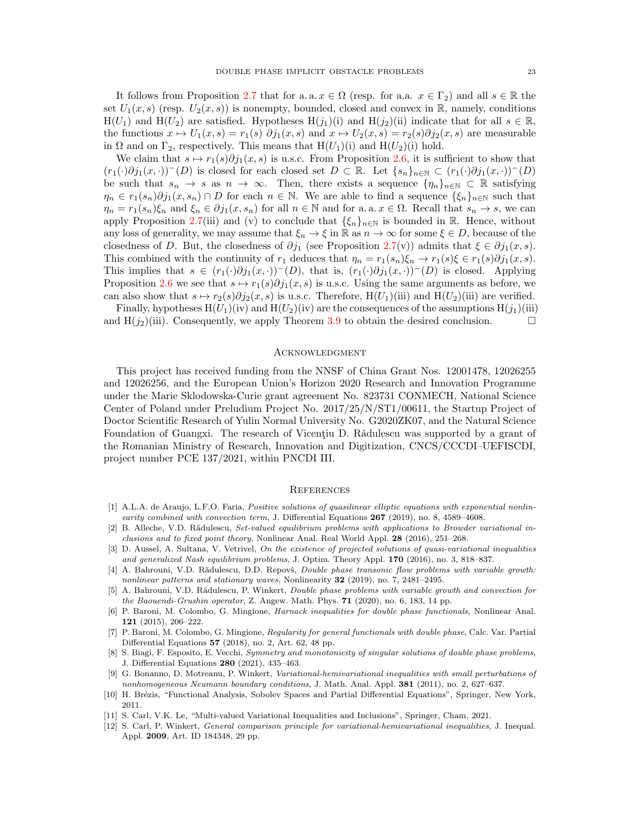It follows from Proposition [2.7](#page-7-3) that for a.a.  $x \in \Omega$  (resp. for a.a.  $x \in \Gamma_2$ ) and all  $s \in \mathbb{R}$  the set  $U_1(x, s)$  (resp.  $U_2(x, s)$ ) is nonempty, bounded, closed and convex in R, namely, conditions  $H(U_1)$  and  $H(U_2)$  are satisfied. Hypotheses  $H(j_1)(i)$  and  $H(j_2)(ii)$  indicate that for all  $s \in \mathbb{R}$ , the functions  $x \mapsto U_1(x, s) = r_1(s) \partial j_1(x, s)$  and  $x \mapsto U_2(x, s) = r_2(s) \partial j_2(x, s)$  are measurable in  $\Omega$  and on  $\Gamma_2$ , respectively. This means that  $H(U_1)(i)$  and  $H(U_2)(i)$  hold.

We claim that  $s \mapsto r_1(s)\partial j_1(x, s)$  is u.s.c. From Proposition [2.6,](#page-6-1) it is sufficient to show that  $(r_1(\cdot)\partial j_1(x, \cdot))^-(D)$  is closed for each closed set  $D \subset \mathbb{R}$ . Let  $\{s_n\}_{n\in\mathbb{N}} \subset (r_1(\cdot)\partial j_1(x, \cdot))^-(D)$ be such that  $s_n \to s$  as  $n \to \infty$ . Then, there exists a sequence  $\{\eta_n\}_{n\in\mathbb{N}} \subset \mathbb{R}$  satisfying  $\eta_n \in r_1(s_n)\partial j_1(x, s_n) \cap D$  for each  $n \in \mathbb{N}$ . We are able to find a sequence  $\{\xi_n\}_{n \in \mathbb{N}}$  such that  $\eta_n = r_1(s_n)\xi_n$  and  $\xi_n \in \partial j_1(x, s_n)$  for all  $n \in \mathbb{N}$  and for a. a.  $x \in \Omega$ . Recall that  $s_n \to s$ , we can apply Proposition [2.7\(](#page-7-3)iii) and (v) to conclude that  $\{\xi_n\}_{n\in\mathbb{N}}$  is bounded in R. Hence, without any loss of generality, we may assume that  $\xi_n \to \xi$  in  $\mathbb R$  as  $n \to \infty$  for some  $\xi \in D$ , because of the closedness of D. But, the closedness of  $\partial j_1$  (see Proposition [2.7\(](#page-7-3)v)) admits that  $\xi \in \partial j_1(x, s)$ . This combined with the continuity of  $r_1$  deduces that  $\eta_n = r_1(s_n)\xi_n \to r_1(s)\xi \in r_1(s)\partial j_1(x, s)$ . This implies that  $s \in (r_1(\cdot)\partial j_1(x,\cdot))^-(D)$ , that is,  $(r_1(\cdot)\partial j_1(x,\cdot))^-(D)$  is closed. Applying Proposition [2.6](#page-6-1) we see that  $s \mapsto r_1(s)\partial j_1(x, s)$  is u.s.c. Using the same arguments as before, we can also show that  $s \mapsto r_2(s)\partial j_2(x, s)$  is u.s.c. Therefore, H(U<sub>1</sub>)(iii) and H(U<sub>2</sub>)(iii) are verified.

Finally, hypotheses  $H(U_1)(iv)$  and  $H(U_2)(iv)$  are the consequences of the assumptions  $H(j_1)(iii)$ and  $H(j_2)$ (iii). Consequently, we apply Theorem [3.9](#page-19-2) to obtain the desired conclusion.

#### Acknowledgment

This project has received funding from the NNSF of China Grant Nos. 12001478, 12026255 and 12026256, and the European Union's Horizon 2020 Research and Innovation Programme under the Marie Sklodowska-Curie grant agreement No. 823731 CONMECH, National Science Center of Poland under Preludium Project No. 2017/25/N/ST1/00611, the Startup Project of Doctor Scientific Research of Yulin Normal University No. G2020ZK07, and the Natural Science Foundation of Guangxi. The research of Vicentiu D. Rădulescu was supported by a grant of the Romanian Ministry of Research, Innovation and Digitization, CNCS/CCCDI–UEFISCDI, project number PCE 137/2021, within PNCDI III.

#### **REFERENCES**

- <span id="page-22-2"></span>[1] A.L.A. de Araujo, L.F.O. Faria, Positive solutions of quasilinear elliptic equations with exponential nonlinearity combined with convection term, J. Differential Equations 267 (2019), no. 8, 4589-4608.
- <span id="page-22-3"></span>[2] B. Alleche, V.D. Rădulescu, Set-valued equilibrium problems with applications to Browder variational inclusions and to fixed point theory, Nonlinear Anal. Real World Appl. 28 (2016), 251–268.
- <span id="page-22-4"></span>[3] D. Aussel, A. Sultana, V. Vetrivel, On the existence of projected solutions of quasi-variational inequalities and generalized Nash equilibrium problems, J. Optim. Theory Appl. 170 (2016), no. 3, 818–837.
- <span id="page-22-8"></span>[4] A. Bahrouni, V.D. Rădulescu, D.D. Repovš, Double phase transonic flow problems with variable growth: nonlinear patterns and stationary waves, Nonlinearity  $32$  (2019), no. 7, 2481–2495.
- <span id="page-22-9"></span>[5] A. Bahrouni, V.D. Rădulescu, P. Winkert, *Double phase problems with variable growth and convection for* the Baouendi-Grushin operator, Z. Angew. Math. Phys.  $71$  (2020), no. 6, 183, 14 pp.
- <span id="page-22-0"></span>[6] P. Baroni, M. Colombo, G. Mingione, Harnack inequalities for double phase functionals, Nonlinear Anal. 121 (2015), 206–222.
- <span id="page-22-1"></span>[7] P. Baroni, M. Colombo, G. Mingione, Regularity for general functionals with double phase, Calc. Var. Partial Differential Equations 57 (2018), no. 2, Art. 62, 48 pp.
- <span id="page-22-10"></span>[8] S. Biagi, F. Esposito, E. Vecchi, Symmetry and monotonicity of singular solutions of double phase problems, J. Differential Equations 280 (2021), 435–463.
- <span id="page-22-5"></span>[9] G. Bonanno, D. Motreanu, P. Winkert, Variational-hemivariational inequalities with small perturbations of nonhomogeneous Neumann boundary conditions, J. Math. Anal. Appl. 381 (2011), no. 2, 627-637.
- <span id="page-22-11"></span>[10] H. Brézis, "Functional Analysis, Sobolev Spaces and Partial Differential Equations", Springer, New York, 2011.
- <span id="page-22-7"></span>[11] S. Carl, V.K. Le, "Multi-valued Variational Inequalities and Inclusions", Springer, Cham, 2021.
- <span id="page-22-6"></span>[12] S. Carl, P. Winkert, General comparison principle for variational-hemivariational inequalities, J. Inequal. Appl. 2009, Art. ID 184348, 29 pp.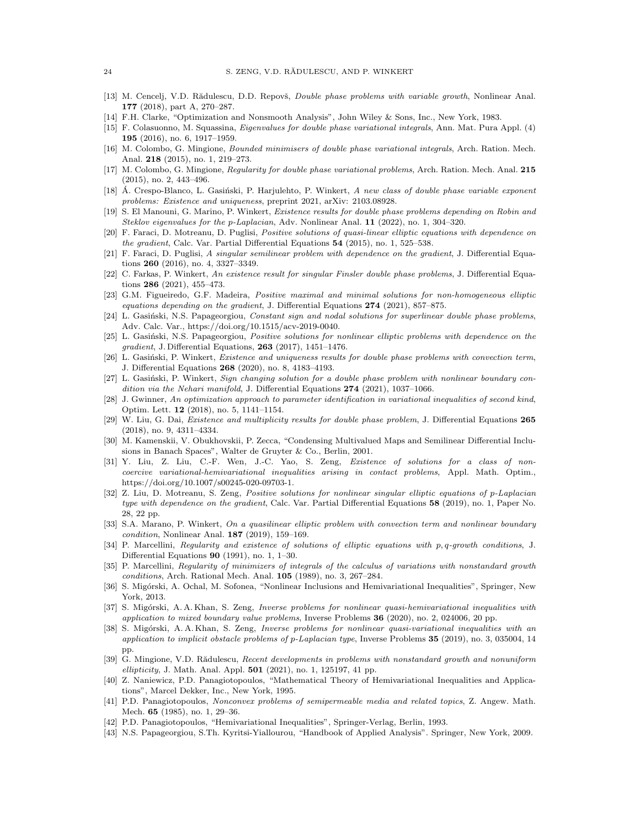- <span id="page-23-19"></span>[13] M. Cencelj, V.D. Rădulescu, D.D. Repovš, Double phase problems with variable growth, Nonlinear Anal. 177 (2018), part A, 270–287.
- <span id="page-23-14"></span>[14] F.H. Clarke, "Optimization and Nonsmooth Analysis", John Wiley & Sons, Inc., New York, 1983.
- <span id="page-23-20"></span>[15] F. Colasuonno, M. Squassina, Eigenvalues for double phase variational integrals, Ann. Mat. Pura Appl. (4) 195 (2016), no. 6, 1917–1959.
- <span id="page-23-0"></span>[16] M. Colombo, G. Mingione, Bounded minimisers of double phase variational integrals, Arch. Ration. Mech. Anal. 218 (2015), no. 1, 219–273.
- <span id="page-23-1"></span>[17] M. Colombo, G. Mingione, Regularity for double phase variational problems, Arch. Ration. Mech. Anal. 215 (2015), no. 2, 443–496.
- <span id="page-23-26"></span>[18] Á. Crespo-Blanco, L. Gasiński, P. Harjulehto, P. Winkert, A new class of double phase variable exponent problems: Existence and uniqueness, preprint 2021, arXiv: 2103.08928.
- <span id="page-23-4"></span>[19] S. El Manouni, G. Marino, P. Winkert, Existence results for double phase problems depending on Robin and Steklov eigenvalues for the p-Laplacian, Adv. Nonlinear Anal. 11 (2022), no. 1, 304–320.
- <span id="page-23-5"></span>[20] F. Faraci, D. Motreanu, D. Puglisi, Positive solutions of quasi-linear elliptic equations with dependence on the gradient, Calc. Var. Partial Differential Equations 54 (2015), no. 1, 525–538.
- <span id="page-23-6"></span>[21] F. Faraci, D. Puglisi, A singular semilinear problem with dependence on the gradient, J. Differential Equations 260 (2016), no. 4, 3327–3349.
- <span id="page-23-21"></span>[22] C. Farkas, P. Winkert, An existence result for singular Finsler double phase problems, J. Differential Equations 286 (2021), 455–473.
- <span id="page-23-7"></span>[23] G.M. Figueiredo, G.F. Madeira, Positive maximal and minimal solutions for non-homogeneous elliptic equations depending on the gradient, J. Differential Equations 274 (2021), 857–875.
- <span id="page-23-22"></span>[24] L. Gasiński, N.S. Papageorgiou, Constant sign and nodal solutions for superlinear double phase problems, Adv. Calc. Var., https://doi.org/10.1515/acv-2019-0040.
- <span id="page-23-8"></span>[25] L. Gasinski, N.S. Papageorgiou, Positive solutions for nonlinear elliptic problems with dependence on the gradient, J. Differential Equations, 263 (2017), 1451–1476.
- <span id="page-23-18"></span>[26] L. Gasiński, P. Winkert, Existence and uniqueness results for double phase problems with convection term, J. Differential Equations 268 (2020), no. 8, 4183–4193.
- <span id="page-23-23"></span>[27] L. Gasiński, P. Winkert, Sign changing solution for a double phase problem with nonlinear boundary condition via the Nehari manifold, J. Differential Equations  $274$  (2021), 1037–1066.
- <span id="page-23-17"></span>[28] J. Gwinner, An optimization approach to parameter identification in variational inequalities of second kind, Optim. Lett. 12 (2018), no. 5, 1141–1154.
- <span id="page-23-24"></span>[29] W. Liu, G. Dai, Existence and multiplicity results for double phase problem, J. Differential Equations 265 (2018), no. 9, 4311–4334.
- <span id="page-23-30"></span>[30] M. Kamenskii, V. Obukhovskii, P. Zecca, "Condensing Multivalued Maps and Semilinear Differential Inclusions in Banach Spaces", Walter de Gruyter & Co., Berlin, 2001.
- <span id="page-23-28"></span>[31] Y. Liu, Z. Liu, C.-F. Wen, J.-C. Yao, S. Zeng, Existence of solutions for a class of noncoercive variational-hemivariational inequalities arising in contact problems, Appl. Math. Optim., https://doi.org/10.1007/s00245-020-09703-1.
- <span id="page-23-9"></span>[32] Z. Liu, D. Motreanu, S. Zeng, Positive solutions for nonlinear singular elliptic equations of p-Laplacian type with dependence on the gradient, Calc. Var. Partial Differential Equations 58 (2019), no. 1, Paper No. 28, 22 pp.
- <span id="page-23-10"></span>[33] S.A. Marano, P. Winkert, On a quasilinear elliptic problem with convection term and nonlinear boundary condition, Nonlinear Anal. 187 (2019), 159–169.
- <span id="page-23-2"></span>[34] P. Marcellini, Regularity and existence of solutions of elliptic equations with p, q-growth conditions, J. Differential Equations 90 (1991), no. 1, 1–30.
- <span id="page-23-3"></span>[35] P. Marcellini, Regularity of minimizers of integrals of the calculus of variations with nonstandard growth conditions, Arch. Rational Mech. Anal. 105 (1989), no. 3, 267–284.
- <span id="page-23-27"></span>[36] S. Migórski, A. Ochal, M. Sofonea, "Nonlinear Inclusions and Hemivariational Inequalities", Springer, New York, 2013.
- <span id="page-23-15"></span>[37] S. Migórski, A. A. Khan, S. Zeng, *Inverse problems for nonlinear quasi-hemivariational inequalities with* application to mixed boundary value problems, Inverse Problems  $36$  (2020), no. 2, 024006, 20 pp.
- <span id="page-23-16"></span>[38] S. Migórski, A. A. Khan, S. Zeng, *Inverse problems for nonlinear quasi-variational inequalities with an* application to implicit obstacle problems of p-Laplacian type, Inverse Problems 35 (2019), no. 3, 035004, 14 pp.
- <span id="page-23-25"></span>[39] G. Mingione, V.D. Rădulescu, Recent developments in problems with nonstandard growth and nonuniform ellipticity, J. Math. Anal. Appl. 501 (2021), no. 1, 125197, 41 pp.
- <span id="page-23-13"></span>[40] Z. Naniewicz, P.D. Panagiotopoulos, "Mathematical Theory of Hemivariational Inequalities and Applications", Marcel Dekker, Inc., New York, 1995.
- <span id="page-23-11"></span>[41] P.D. Panagiotopoulos, Nonconvex problems of semipermeable media and related topics, Z. Angew. Math. Mech. 65 (1985), no. 1, 29–36.
- <span id="page-23-12"></span>[42] P.D. Panagiotopoulos, "Hemivariational Inequalities", Springer-Verlag, Berlin, 1993.
- <span id="page-23-29"></span>[43] N.S. Papageorgiou, S.Th. Kyritsi-Yiallourou, "Handbook of Applied Analysis". Springer, New York, 2009.